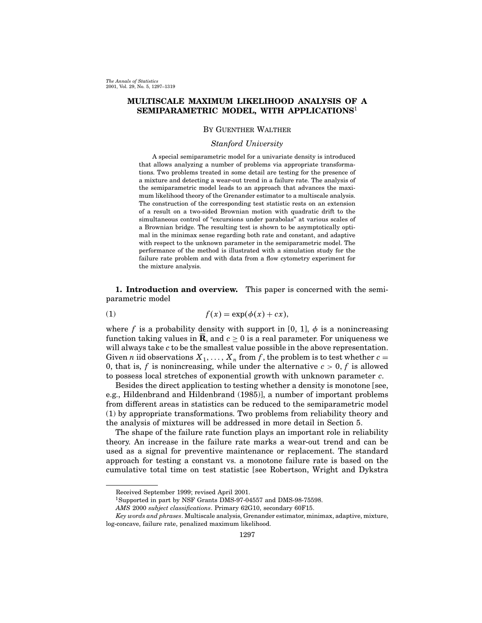# MULTISCALE MAXIMUM LIKELIHOOD ANALYSIS OF A SEMIPARAMETRIC MODEL, WITH APPLICATIONS<sup>1</sup>

# By Guenther Walther

# Stanford University

A special semiparametric model for a univariate density is introduced that allows analyzing a number of problems via appropriate transformations. Two problems treated in some detail are testing for the presence of a mixture and detecting a wear-out trend in a failure rate. The analysis of the semiparametric model leads to an approach that advances the maximum likelihood theory of the Grenander estimator to a multiscale analysis. The construction of the corresponding test statistic rests on an extension of a result on a two-sided Brownian motion with quadratic drift to the simultaneous control of "excursions under parabolas" at various scales of a Brownian bridge. The resulting test is shown to be asymptotically optimal in the minimax sense regarding both rate and constant, and adaptive with respect to the unknown parameter in the semiparametric model. The performance of the method is illustrated with a simulation study for the failure rate problem and with data from a flow cytometry experiment for the mixture analysis.

1. Introduction and overview. This paper is concerned with the semiparametric model

(1) 
$$
f(x) = \exp(\phi(x) + cx),
$$

where f is a probability density with support in [0, 1],  $\phi$  is a nonincreasing function taking values in **R**, and  $c > 0$  is a real parameter. For uniqueness we will always take c to be the smallest value possible in the above representation. Given *n* iid observations  $X_1, \ldots, X_n$  from *f*, the problem is to test whether  $c =$ 0, that is, f is nonincreasing, while under the alternative  $c > 0$ , f is allowed to possess local stretches of exponential growth with unknown parameter c.

Besides the direct application to testing whether a density is monotone [see, e.g., Hildenbrand and Hildenbrand (1985)], a number of important problems from different areas in statistics can be reduced to the semiparametric model (1) by appropriate transformations. Two problems from reliability theory and the analysis of mixtures will be addressed in more detail in Section 5.

The shape of the failure rate function plays an important role in reliability theory. An increase in the failure rate marks a wear-out trend and can be used as a signal for preventive maintenance or replacement. The standard approach for testing a constant vs. a monotone failure rate is based on the cumulative total time on test statistic [see Robertson, Wright and Dykstra

Received September 1999; revised April 2001.

<sup>&</sup>lt;sup>1</sup>Supported in part by NSF Grants DMS-97-04557 and DMS-98-75598.

AMS 2000 subject classifications. Primary 62G10, secondary 60F15.

Key words and phrases. Multiscale analysis, Grenander estimator, minimax, adaptive, mixture, log-concave, failure rate, penalized maximum likelihood.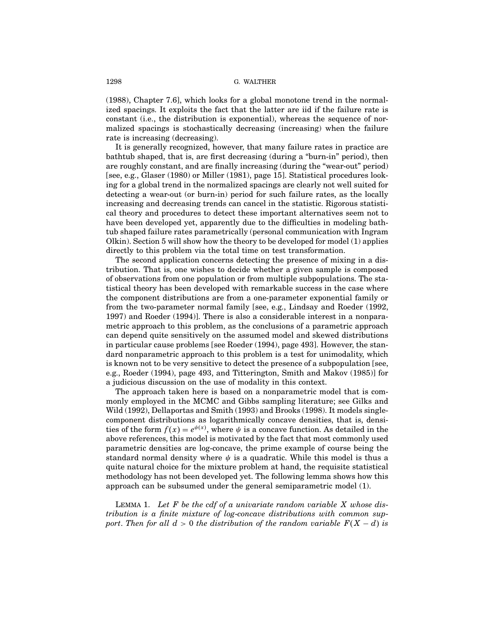(1988), Chapter 7.6], which looks for a global monotone trend in the normalized spacings. It exploits the fact that the latter are iid if the failure rate is constant (i.e., the distribution is exponential), whereas the sequence of normalized spacings is stochastically decreasing (increasing) when the failure rate is increasing (decreasing).

It is generally recognized, however, that many failure rates in practice are bathtub shaped, that is, are first decreasing (during a "burn-in" period), then are roughly constant, and are finally increasing (during the "wear-out" period) [see, e.g., Glaser (1980) or Miller (1981), page 15]. Statistical procedures looking for a global trend in the normalized spacings are clearly not well suited for detecting a wear-out (or burn-in) period for such failure rates, as the locally increasing and decreasing trends can cancel in the statistic. Rigorous statistical theory and procedures to detect these important alternatives seem not to have been developed yet, apparently due to the difficulties in modeling bathtub shaped failure rates parametrically (personal communication with Ingram Olkin). Section 5 will showhowthe theory to be developed for model (1) applies directly to this problem via the total time on test transformation.

The second application concerns detecting the presence of mixing in a distribution. That is, one wishes to decide whether a given sample is composed of observations from one population or from multiple subpopulations. The statistical theory has been developed with remarkable success in the case where the component distributions are from a one-parameter exponential family or from the two-parameter normal family [see, e.g., Lindsay and Roeder (1992, 1997) and Roeder (1994)]. There is also a considerable interest in a nonparametric approach to this problem, as the conclusions of a parametric approach can depend quite sensitively on the assumed model and skewed distributions in particular cause problems [see Roeder (1994), page 493]. However, the standard nonparametric approach to this problem is a test for unimodality, which is known not to be very sensitive to detect the presence of a subpopulation [see, e.g., Roeder (1994), page 493, and Titterington, Smith and Makov (1985)] for a judicious discussion on the use of modality in this context.

The approach taken here is based on a nonparametric model that is commonly employed in the MCMC and Gibbs sampling literature; see Gilks and Wild (1992), Dellaportas and Smith (1993) and Brooks (1998). It models singlecomponent distributions as logarithmically concave densities, that is, densities of the form  $f(x) = e^{\psi(x)}$ , where  $\psi$  is a concave function. As detailed in the above references, this model is motivated by the fact that most commonly used parametric densities are log-concave, the prime example of course being the standard normal density where  $\psi$  is a quadratic. While this model is thus a quite natural choice for the mixture problem at hand, the requisite statistical methodology has not been developed yet. The following lemma shows how this approach can be subsumed under the general semiparametric model (1).

LEMMA 1. Let F be the cdf of a univariate random variable  $X$  whose distribution is a finite mixture of log-concave distributions with common support. Then for all  $d > 0$  the distribution of the random variable  $F(X - d)$  is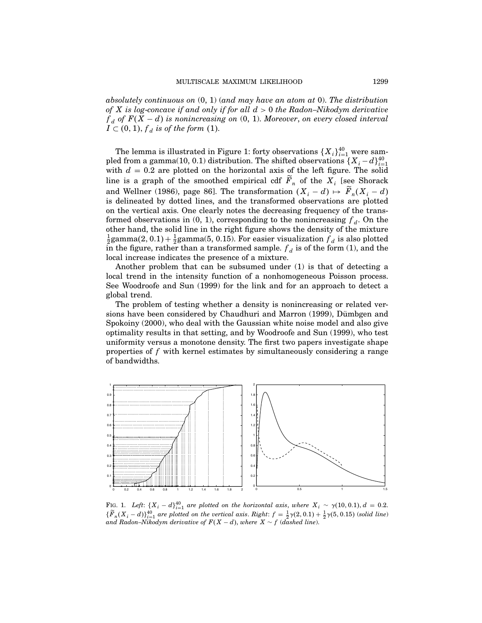absolutely continuous on  $(0, 1)$  (and may have an atom at 0). The distribution of X is log-concave if and only if for all  $d > 0$  the Radon–Nikodym derivative  $f_d$  of  $F(X - d)$  is nonincreasing on  $(0, 1)$ . Moreover, on every closed interval  $I \subset (0,1)$ ,  $f_d$  is of the form (1).

The lemma is illustrated in Figure 1: forty observations  $\{X_i\}_{i=1}^{40}$  were sampled from a gamma(10, 0.1) distribution. The shifted observations  $\{X_i - d\}_{i=1}^{40}$ with  $d = 0.2$  are plotted on the horizontal axis of the left figure. The solid line is a graph of the smoothed empirical cdf  $\ddot{F}_n$  of the  $X_i$  [see Shorack and Wellner (1986), page 86]. The transformation  $(X_i - d) \mapsto F_n(X_i - d)$ is delineated by dotted lines, and the transformed observations are plotted on the vertical axis. One clearly notes the decreasing frequency of the transformed observations in  $(0, 1)$ , corresponding to the nonincreasing  $f<sub>d</sub>$ . On the other hand, the solid line in the right figure shows the density of the mixture  $\frac{1}{2}$ gamma $(2, 0.1) + \frac{1}{2}$ gamma $(5, 0.15)$ . For easier visualization  $f_d$  is also plotted in the figure, rather than a transformed sample.  $f_d$  is of the form (1), and the local increase indicates the presence of a mixture.

Another problem that can be subsumed under (1) is that of detecting a local trend in the intensity function of a nonhomogeneous Poisson process. See Woodroofe and Sun (1999) for the link and for an approach to detect a global trend.

The problem of testing whether a density is nonincreasing or related versions have been considered by Chaudhuri and Marron (1999), Dümbgen and Spokoiny (2000), who deal with the Gaussian white noise model and also give optimality results in that setting, and by Woodroofe and Sun (1999), who test uniformity versus a monotone density. The first two papers investigate shape properties of f with kernel estimates by simultaneously considering a range of bandwidths.



FIG. 1. Left:  $\{X_i - d\}_{i=1}^{40}$  are plotted on the horizontal axis, where  $X_i \sim \gamma(10, 0.1), d = 0.2$ .  $\{\widetilde{F}_n(X_i - d)\}_{i=1}^{40}$  are plotted on the vertical axis. Right:  $f = \frac{1}{2}\gamma(2, 0.1) + \frac{1}{2}\gamma(5, 0.15)$  (solid line) and Radon–Nikodym derivative of  $F(X-d)$ , where  $X \sim f$  (dashed line).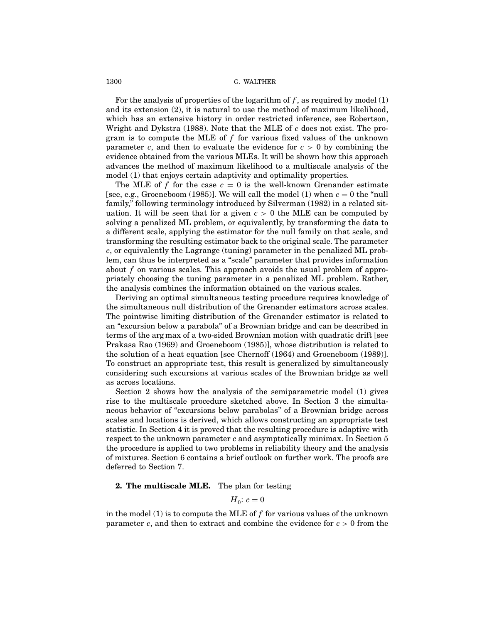For the analysis of properties of the logarithm of  $f$ , as required by model (1) and its extension (2), it is natural to use the method of maximum likelihood, which has an extensive history in order restricted inference, see Robertson, Wright and Dykstra (1988). Note that the MLE of  $c$  does not exist. The program is to compute the MLE of  $f$  for various fixed values of the unknown parameter c, and then to evaluate the evidence for  $c > 0$  by combining the evidence obtained from the various MLEs. It will be shown how this approach advances the method of maximum likelihood to a multiscale analysis of the model (1) that enjoys certain adaptivity and optimality properties.

The MLE of f for the case  $c = 0$  is the well-known Grenander estimate [see, e.g., Groeneboom (1985)]. We will call the model (1) when  $c = 0$  the "null family," following terminology introduced by Silverman (1982) in a related situation. It will be seen that for a given  $c > 0$  the MLE can be computed by solving a penalized ML problem, or equivalently, by transforming the data to a different scale, applying the estimator for the null family on that scale, and transforming the resulting estimator back to the original scale. The parameter c, or equivalently the Lagrange (tuning) parameter in the penalized ML problem, can thus be interpreted as a "scale" parameter that provides information about f on various scales. This approach avoids the usual problem of appropriately choosing the tuning parameter in a penalized ML problem. Rather, the analysis combines the information obtained on the various scales.

Deriving an optimal simultaneous testing procedure requires knowledge of the simultaneous null distribution of the Grenander estimators across scales. The pointwise limiting distribution of the Grenander estimator is related to an "excursion belowa parabola" of a Brownian bridge and can be described in terms of the arg max of a two-sided Brownian motion with quadratic drift [see Prakasa Rao (1969) and Groeneboom (1985)], whose distribution is related to the solution of a heat equation [see Chernoff (1964) and Groeneboom (1989)]. To construct an appropriate test, this result is generalized by simultaneously considering such excursions at various scales of the Brownian bridge as well as across locations.

Section 2 shows how the analysis of the semiparametric model (1) gives rise to the multiscale procedure sketched above. In Section 3 the simultaneous behavior of "excursions belowparabolas" of a Brownian bridge across scales and locations is derived, which allows constructing an appropriate test statistic. In Section 4 it is proved that the resulting procedure is adaptive with respect to the unknown parameter c and asymptotically minimax. In Section 5 the procedure is applied to two problems in reliability theory and the analysis of mixtures. Section 6 contains a brief outlook on further work. The proofs are deferred to Section 7.

# 2. The multiscale MLE. The plan for testing

 $H_0: c = 0$ 

in the model (1) is to compute the MLE of  $f$  for various values of the unknown parameter c, and then to extract and combine the evidence for  $c > 0$  from the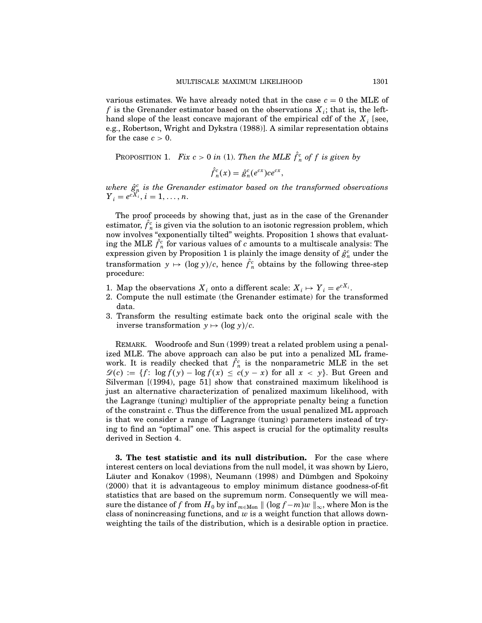various estimates. We have already noted that in the case  $c = 0$  the MLE of f is the Grenander estimator based on the observations  $X_i$ ; that is, the lefthand slope of the least concave majorant of the empirical cdf of the  $X_i$  [see, e.g., Robertson, Wright and Dykstra (1988)]. A similar representation obtains for the case  $c > 0$ .

PROPOSITION 1. Fix  $c > 0$  in (1). Then the MLE  $\hat{f}_n^c$  of f is given by

$$
\hat{f}_n^c(x) = \hat{g}_n^c(e^{cx})ce^{cx},
$$

where  $\hat{g}^c_i$  is the Grenander estimator based on the transformed observations  $Y_i = e^{cX_i}, i = 1, ..., n.$ 

The proof proceeds by showing that, just as in the case of the Grenander estimator,  $\hat{f}_n^c$  is given via the solution to an isotonic regression problem, which now involves "exponentially tilted" weights. Proposition 1 shows that evaluating the MLE  $\hat{f}^c_n$  for various values of  $c$  amounts to a multiscale analysis: The expression given by Proposition 1 is plainly the image density of  $\hat{g}_n^c$  under the transformation  $y \mapsto (\log y)/c$ , hence  $\hat{f}_n^c$  obtains by the following three-step procedure:

- 1. Map the observations  $X_i$  onto a different scale:  $X_i \mapsto Y_i = e^{cX_i}$ .
- 2. Compute the null estimate (the Grenander estimate) for the transformed data.
- 3. Transform the resulting estimate back onto the original scale with the inverse transformation  $y \mapsto (\log y)/c$ .

REMARK. Woodroofe and Sun (1999) treat a related problem using a penalized MLE. The above approach can also be put into a penalized ML framework. It is readily checked that  $\hat{f}_n^c$  is the nonparametric MLE in the set  $\mathscr{D}(c) := \{f: \log f(y) - \log f(x) \leq c(y-x) \text{ for all } x < y\}.$  But Green and Silverman  $(1994)$ , page 51 show that constrained maximum likelihood is just an alternative characterization of penalized maximum likelihood, with the Lagrange (tuning) multiplier of the appropriate penalty being a function of the constraint c. Thus the difference from the usual penalized ML approach is that we consider a range of Lagrange (tuning) parameters instead of trying to find an "optimal" one. This aspect is crucial for the optimality results derived in Section 4.

3. The test statistic and its null distribution. For the case where interest centers on local deviations from the null model, it was shown by Liero, Läuter and Konakov (1998), Neumann (1998) and Dümbgen and Spokoiny (2000) that it is advantageous to employ minimum distance goodness-of-fit statistics that are based on the supremum norm. Consequently we will measure the distance of f from  $H_0$  by  $\inf_{m \in \mathbb{M}} ||(\log f - m)w||_{\infty}$ , where Mon is the class of nonincreasing functions, and  $w$  is a weight function that allows downweighting the tails of the distribution, which is a desirable option in practice.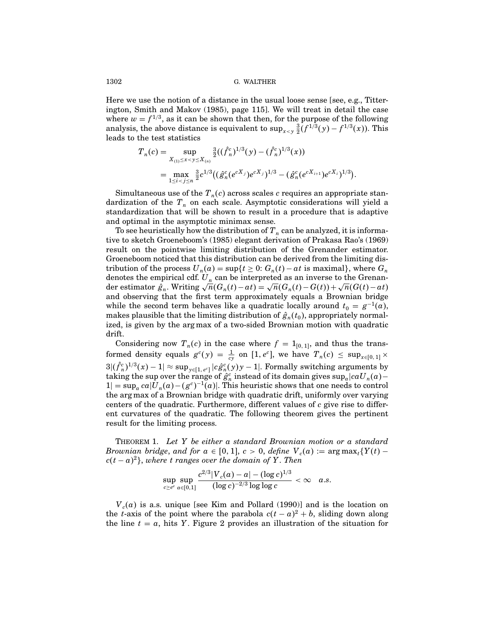Here we use the notion of a distance in the usual loose sense [see, e.g., Titterington, Smith and Makov (1985), page 115]. We will treat in detail the case where  $w = f^{1/3}$ , as it can be shown that then, for the purpose of the following analysis, the above distance is equivalent to  $\sup_{x < y} \frac{3}{2}(f^{1/3}(y) - f^{1/3}(x))$ . This leads to the test statistics

$$
T_n(c) = \sup_{X_{(1)} \le x < y \le X_{(n)}} \frac{\frac{3}{2}((\hat{f}_n^c)^{1/3}(y) - (\hat{f}_n^c)^{1/3}(x))}{\frac{3}{2}c^{1/3}((\hat{g}_n^c(e^{cX_j})e^{cX_j})^{1/3} - (\hat{g}_n^c(e^{cX_{i+1}})e^{cX_i})^{1/3})}
$$

.

Simultaneous use of the  $T_n(c)$  across scales c requires an appropriate standardization of the  $T_n$  on each scale. Asymptotic considerations will yield a standardization that will be shown to result in a procedure that is adaptive and optimal in the asymptotic minimax sense.

To see heuristically how the distribution of  $T_n$  can be analyzed, it is informative to sketch Groeneboom's (1985) elegant derivation of Prakasa Rao's (1969) result on the pointwise limiting distribution of the Grenander estimator. Groeneboom noticed that this distribution can be derived from the limiting distribution of the process  $U_n(a) = \sup\{t \geq 0: G_n(t) - at \text{ is maximal}\},\$  where  $G_n$ denotes the empirical cdf.  $U_n$  can be interpreted as an inverse to the Grenander estimator  $\hat{g}_n$ . Writing  $\sqrt{n}(G_n(t) - at) = \sqrt{n}(G_n(t) - G(t)) + \sqrt{n}(G(t) - at)$ and observing that the first term approximately equals a Brownian bridge while the second term behaves like a quadratic locally around  $t_0 = g^{-1}(a)$ , makes plausible that the limiting distribution of  $\hat{g}_n(t_0)$ , appropriately normalized, is given by the arg max of a two-sided Brownian motion with quadratic drift.

Considering now  $T_n(c)$  in the case where  $f = 1_{[0,1]}$ , and thus the transformed density equals  $g^c(y) = \frac{1}{cy}$  on  $[1, e^c]$ , we have  $T_n(c) \le \sup_{x \in [0, 1]} \times$  $3|(\hat{f}_n^c)^{1/3}(x) - 1| \approx \sup_{y \in [1, e^c]} |c \hat{g}_n^c(y) y - 1|$ . Formally switching arguments by taking the sup over the range of  $\hat{g}^c_n$  instead of its domain gives  $\sup_a |ca U_n(a) 1 = \sup_a \frac{ca}{U_n(a) - (g^c)^{-1}(a)}$ . This heuristic shows that one needs to control the arg max of a Brownian bridge with quadratic drift, uniformly over varying centers of the quadratic. Furthermore, different values of  $c$  give rise to different curvatures of the quadratic. The following theorem gives the pertinent result for the limiting process.

THEOREM 1. Let  $Y$  be either a standard Brownian motion or a standard Brownian bridge, and for  $a \in [0, 1]$ ,  $c > 0$ , define  $V_c(a) := \arg \max_t \{Y(t)$  $c(t-a)^2$ , where t ranges over the domain of Y. Then

$$
\sup_{c \geq e^e} \sup_{a \in [0,1]} \frac{c^{2/3} |V_c(a) - a| - (\log c)^{1/3}}{(\log c)^{-2/3} \log \log c} < \infty \quad a.s.
$$

 $V_c(a)$  is a.s. unique [see Kim and Pollard (1990)] and is the location on the t-axis of the point where the parabola  $c(t-a)^2 + b$ , sliding down along the line  $t = a$ , hits Y. Figure 2 provides an illustration of the situation for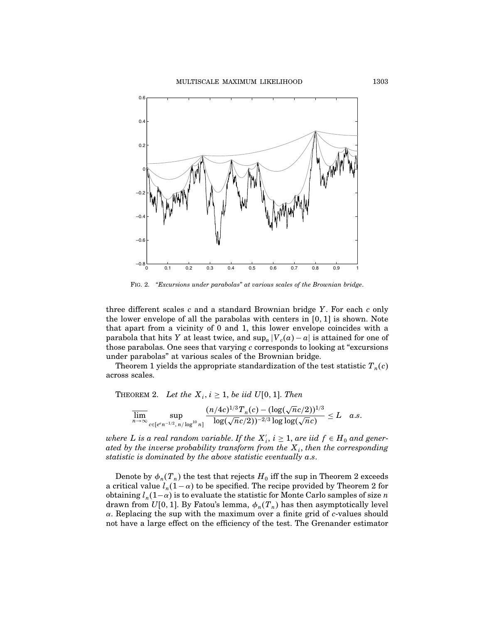

Fig. 2. "Excursions under parabolas" at various scales of the Brownian bridge.

three different scales  $c$  and a standard Brownian bridge  $Y$ . For each  $c$  only the lower envelope of all the parabolas with centers in  $[0, 1]$  is shown. Note that apart from a vicinity of 0 and 1, this lower envelope coincides with a parabola that hits Y at least twice, and  $\sup_a |V_c(a)-a|$  is attained for one of those parabolas. One sees that varying c corresponds to looking at "excursions under parabolas" at various scales of the Brownian bridge.

Theorem 1 yields the appropriate standardization of the test statistic  $T_n(c)$ across scales.

THEOREM 2. Let the  $X_i$ ,  $i \geq 1$ , be iid  $U[0, 1]$ . Then

$$
\overline{\lim_{n\to\infty}}\sup_{c\in [e^{e}n^{-1/2},\,n/\log^{10}n]} \frac{(n/4c)^{1/3} T_n(c)-(\log(\sqrt{n}c/2))^{1/3}}{\log(\sqrt{n}c/2))^{-2/3}\log\log(\sqrt{n}c)}\leq L \quad a.s.
$$

where L is a real random variable. If the  $X_i'$ ,  $i \geq 1$ , are iid  $f \in H_0$  and generated by the inverse probability transform from the  $X_i$ , then the corresponding statistic is dominated by the above statistic eventually a.s.

Denote by  $\phi_n(T_n)$  the test that rejects  $H_0$  iff the sup in Theorem 2 exceeds a critical value  $l_n(1 - \alpha)$  to be specified. The recipe provided by Theorem 2 for obtaining  $l_n(1-\alpha)$  is to evaluate the statistic for Monte Carlo samples of size n drawn from  $U[0, 1]$ . By Fatou's lemma,  $\phi_n(T_n)$  has then asymptotically level  $\alpha$ . Replacing the sup with the maximum over a finite grid of c-values should not have a large effect on the efficiency of the test. The Grenander estimator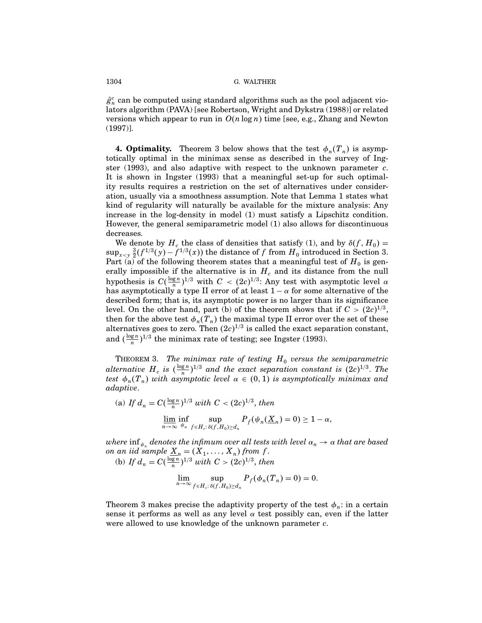$\hat{g}_n^c$  can be computed using standard algorithms such as the pool adjacent violators algorithm (PAVA) [see Robertson, Wright and Dykstra (1988)] or related versions which appear to run in  $O(n \log n)$  time [see, e.g., Zhang and Newton (1997)].

**4. Optimality.** Theorem 3 below shows that the test  $\phi_n(T_n)$  is asymptotically optimal in the minimax sense as described in the survey of Ingster (1993), and also adaptive with respect to the unknown parameter  $c$ . It is shown in Ingster (1993) that a meaningful set-up for such optimality results requires a restriction on the set of alternatives under consideration, usually via a smoothness assumption. Note that Lemma 1 states what kind of regularity will naturally be available for the mixture analysis: Any increase in the log-density in model (1) must satisfy a Lipschitz condition. However, the general semiparametric model (1) also allows for discontinuous decreases.

We denote by  $H_c$  the class of densities that satisfy (1), and by  $\delta(f, H_0) =$  $\sup_{x \leq y} \frac{3}{2}(f^{1/3}(y) - f^{1/3}(x))$  the distance of f from  $H_0$  introduced in Section 3. Part (a) of the following theorem states that a meaningful test of  $H_0$  is generally impossible if the alternative is in  $H_c$  and its distance from the null hypothesis is  $C(\frac{\log n}{n})^{1/3}$  with  $C < (2c)^{1/3}$ : Any test with asymptotic level  $\alpha$ has asymptotically a type II error of at least  $1 - \alpha$  for some alternative of the described form; that is, its asymptotic power is no larger than its significance level. On the other hand, part (b) of the theorem shows that if  $C > (2c)^{1/3}$ , then for the above test  $\phi_n(T_n)$  the maximal type II error over the set of these alternatives goes to zero. Then  $(2c)^{1/3}$  is called the exact separation constant, and  $\left(\frac{\log n}{n}\right)^{1/3}$  the minimax rate of testing; see Ingster (1993).

THEOREM 3. The minimax rate of testing  $H_0$  versus the semiparametric alternative  $H_c$  is  $(\frac{\log n}{n})^{1/3}$  and the exact separation constant is  $(2c)^{1/3}$ . The test  $\phi_n(T_n)$  with asymptotic level  $\alpha \in (0,1)$  is asymptotically minimax and adaptive.

(a) If 
$$
d_n = C(\frac{\log n}{n})^{1/3}
$$
 with  $C < (2c)^{1/3}$ , then  
\n
$$
\lim_{n \to \infty} \inf_{\psi_n} \sup_{f \in H_c: \delta(f, H_0) \ge d_n} P_f(\psi_n(\underline{X}_n) = 0) \ge 1 - \alpha,
$$

where inf  $_{\psi_n}$  denotes the infimum over all tests with level  $\alpha_n \to \alpha$  that are based on an iid sample  $\underline{X}_n = (X_1, \ldots, X_n)$  from f. (b) If  $d_n = C(\frac{\log n}{n})^{1/3}$  with  $C > (2c)^{1/3}$ , then

$$
\lim_{n\to\infty}\sup_{f\in H_c:\delta(f,H_0)\geq d_n}P_f(\phi_n(T_n)=0)=0.
$$

Theorem 3 makes precise the adaptivity property of the test  $\phi_n$ : in a certain sense it performs as well as any level  $\alpha$  test possibly can, even if the latter were allowed to use knowledge of the unknown parameter c.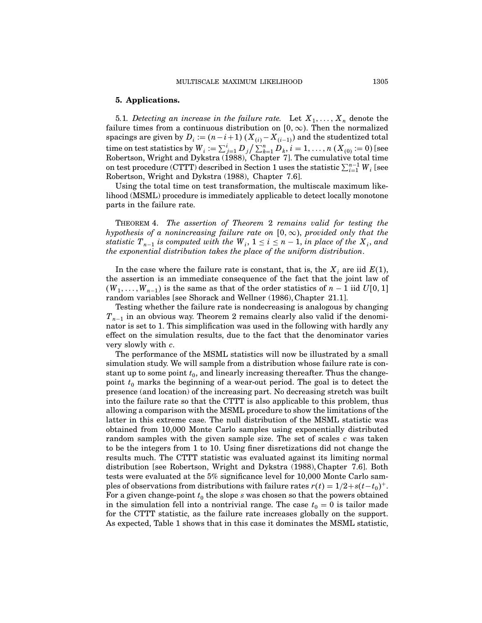# 5. Applications.

5.1. Detecting an increase in the failure rate. Let  $X_1, \ldots, X_n$  denote the failure times from a continuous distribution on  $[0, \infty)$ . Then the normalized spacings are given by  $D_i \coloneqq (n-i+1)$   $(X_{(i)}-X_{(i-1)})$  and the studentized total time on test statistics by  $W_i := \sum_{j=1}^i D_j / \sum_{k=1}^n D_k, i = 1, \ldots, n$   $(X_{(0)} := 0)$  [see Robertson, Wright and Dykstra (1988), Chapter 7]. The cumulative total time on test procedure (CTTT) described in Section 1 uses the statistic  $\sum_{i=1}^{n-1} W_i$  [see Robertson, Wright and Dykstra (1988), Chapter 7.6].

Using the total time on test transformation, the multiscale maximum likelihood (MSML) procedure is immediately applicable to detect locally monotone parts in the failure rate.

Theorem 4. The assertion of Theorem 2 remains valid for testing the hypothesis of a nonincreasing failure rate on  $[0, \infty)$ , provided only that the statistic  $T_{n-1}$  is computed with the  $W_i$ ,  $1 \leq i \leq n-1$ , in place of the  $X_i$ , and the exponential distribution takes the place of the uniform distribution.

In the case where the failure rate is constant, that is, the  $X_i$  are iid  $E(1)$ , the assertion is an immediate consequence of the fact that the joint lawof  $(W_1, \ldots, W_{n-1})$  is the same as that of the order statistics of  $n-1$  iid  $U[0, 1]$ random variables [see Shorack and Wellner (1986), Chapter 21.1].

Testing whether the failure rate is nondecreasing is analogous by changing  $T_{n-1}$  in an obvious way. Theorem 2 remains clearly also valid if the denominator is set to 1. This simplification was used in the following with hardly any effect on the simulation results, due to the fact that the denominator varies very slowly with c.

The performance of the MSML statistics will now be illustrated by a small simulation study. We will sample from a distribution whose failure rate is constant up to some point  $t_0$ , and linearly increasing thereafter. Thus the changepoint  $t_0$  marks the beginning of a wear-out period. The goal is to detect the presence (and location) of the increasing part. No decreasing stretch was built into the failure rate so that the CTTT is also applicable to this problem, thus allowing a comparison with the MSML procedure to show the limitations of the latter in this extreme case. The null distribution of the MSML statistic was obtained from 10,000 Monte Carlo samples using exponentially distributed random samples with the given sample size. The set of scales  $c$  was taken to be the integers from 1 to 10. Using finer disretizations did not change the results much. The CTTT statistic was evaluated against its limiting normal distribution [see Robertson, Wright and Dykstra (1988), Chapter 7.6]. Both tests were evaluated at the 5% significance level for 10,000 Monte Carlo samples of observations from distributions with failure rates  $r(t) = 1/2 + s(t-t_0)^+$ . For a given change-point  $t_0$  the slope s was chosen so that the powers obtained in the simulation fell into a nontrivial range. The case  $t_0 = 0$  is tailor made for the CTTT statistic, as the failure rate increases globally on the support. As expected, Table 1 shows that in this case it dominates the MSML statistic,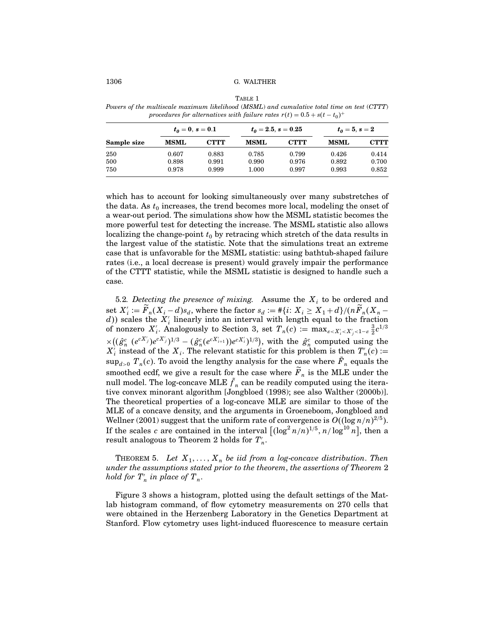TABLE 1

Powers of the multiscale maximum likelihood (MSML) and cumulative total time on test (CTTT) procedures for alternatives with failure rates  $r(t) = 0.5 + s(t - t_0)^+$ 

| Sample size | $t_0 = 0, s = 0.1$ |       | $t_0 = 2.5, s = 0.25$ |       | $t_0 = 5, s = 2$ |       |
|-------------|--------------------|-------|-----------------------|-------|------------------|-------|
|             | <b>MSML</b>        | СТТТ  | <b>MSML</b>           | CTTT  | <b>MSML</b>      | СТТТ  |
| 250         | 0.607              | 0.883 | 0.785                 | 0.799 | 0.426            | 0.414 |
| 500         | 0.898              | 0.991 | 0.990                 | 0.976 | 0.892            | 0.700 |
| 750         | 0.978              | 0.999 | $1.000\,$             | 0.997 | 0.993            | 0.852 |

which has to account for looking simultaneously over many substretches of the data. As  $t_0$  increases, the trend becomes more local, modeling the onset of a wear-out period. The simulations showhowthe MSML statistic becomes the more powerful test for detecting the increase. The MSML statistic also allows localizing the change-point  $t_0$  by retracing which stretch of the data results in the largest value of the statistic. Note that the simulations treat an extreme case that is unfavorable for the MSML statistic: using bathtub-shaped failure rates (i.e., a local decrease is present) would gravely impair the performance of the CTTT statistic, while the MSML statistic is designed to handle such a case.

5.2. Detecting the presence of mixing. Assume the  $X_i$  to be ordered and set  $X_i' := F_n(X_i - d)s_d$ , where the factor  $s_d := \frac{\# \{i: X_i \geq X_1 + d\}}{(nF_n(X_n - d))}$ d) scales the  $X_i$  linearly into an interval with length equal to the fraction of nonzero  $X_i'$ . Analogously to Section 3, set  $T_n(c) := \max_{\varepsilon < X_i' < X_j' < 1-\varepsilon} \frac{3}{2} c^{1/3}$  $\times ((\hat{g}_n^c \, (e^{cX'_j})e^{cX'_j})^{1/3} - (\hat{g}_n^c(e^{cX'_{i+1}}))e^{cX'_i})^{1/3}),$  with the  $\hat{g}_n^c$  computed using the  $X'_i$  instead of the  $X_i$ . The relevant statistic for this problem is then  $T'_n(c) :=$  $\sup_{d>0} T_n(c)$ . To avoid the lengthy analysis for the case where  $\overline{F}_n$  equals the smoothed ecdf, we give a result for the case where  $\tilde{F}_n$  is the MLE under the null model. The log-concave MLE  ${f}_n$  can be readily computed using the iterative convex minorant algorithm [Jongbloed (1998); see also Walther (2000b)]. The theoretical properties of a log-concave MLE are similar to those of the MLE of a concave density, and the arguments in Groeneboom, Jongbloed and Wellner (2001) suggest that the uniform rate of convergence is  $O((\log n/n)^{2/5})$ . If the scales c are contained in the interval  $[(\log^2 n/n)^{1/5}, n/\log^{10} n]$ , then a result analogous to Theorem 2 holds for  $T^{\prime}_n.$ 

THEOREM 5. Let  $X_1, \ldots, X_n$  be iid from a log-concave distribution. Then under the assumptions stated prior to the theorem, the assertions of Theorem 2 hold for  $T_n'$  in place of  $T_n$ .

Figure 3 shows a histogram, plotted using the default settings of the Matlab histogram command, of flow cytometry measurements on 270 cells that were obtained in the Herzenberg Laboratory in the Genetics Department at Stanford. Flow cytometry uses light-induced fluorescence to measure certain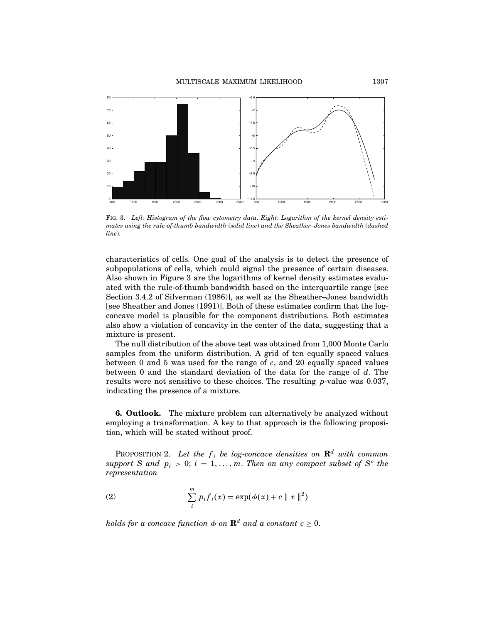

Fig. 3. Left: Histogram of the flow cytometry data. Right: Logarithm of the kernel density estimates using the rule-of-thumb bandwidth (solid line) and the Sheather–Jones bandwidth (dashed line).

characteristics of cells. One goal of the analysis is to detect the presence of subpopulations of cells, which could signal the presence of certain diseases. Also shown in Figure 3 are the logarithms of kernel density estimates evaluated with the rule-of-thumb bandwidth based on the interquartile range [see Section 3.4.2 of Silverman (1986)], as well as the Sheather–Jones bandwidth [see Sheather and Jones (1991)]. Both of these estimates confirm that the logconcave model is plausible for the component distributions. Both estimates also showa violation of concavity in the center of the data, suggesting that a mixture is present.

The null distribution of the above test was obtained from 1,000 Monte Carlo samples from the uniform distribution. A grid of ten equally spaced values between 0 and 5 was used for the range of  $c$ , and 20 equally spaced values between  $0$  and the standard deviation of the data for the range of  $d$ . The results were not sensitive to these choices. The resulting p-value was 0.037, indicating the presence of a mixture.

6. Outlook. The mixture problem can alternatively be analyzed without employing a transformation. A key to that approach is the following proposition, which will be stated without proof.

PROPOSITION 2. Let the  $f_i$  be log-concave densities on  $\mathbf{R}^d$  with common support S and  $p_i > 0$ ;  $i = 1, ..., m$ . Then on any compact subset of  $S<sup>o</sup>$  the representation

(2) 
$$
\sum_{i}^{m} p_{i} f_{i}(x) = \exp(\phi(x) + c \| x \|^{2})
$$

holds for a concave function  $\phi$  on  $\mathbf{R}^d$  and a constant  $c \geq 0$ .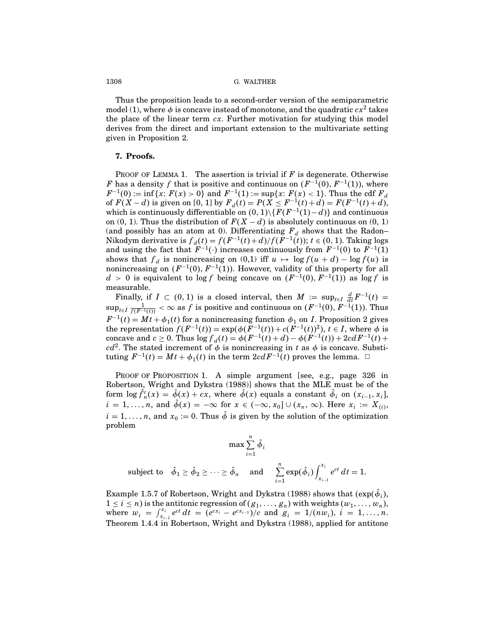Thus the proposition leads to a second-order version of the semiparametric model (1), where  $\phi$  is concave instead of monotone, and the quadratic  $cx^2$  takes the place of the linear term  $cx$ . Further motivation for studying this model derives from the direct and important extension to the multivariate setting given in Proposition 2.

# 7. Proofs.

PROOF OF LEMMA 1. The assertion is trivial if  $F$  is degenerate. Otherwise F has a density f that is positive and continuous on  $(F^{-1}(0), F^{-1}(1))$ , where  $F^{-1}(0) := \inf\{x: F(x) > 0\}$  and  $F^{-1}(1) := \sup\{x: F(x) < 1\}$ . Thus the cdf  $F_d$ of  $F(X - d)$  is given on [0, 1] by  $F_d(t) = P(X \leq F^{-1}(t) + d) = F(F^{-1}(t) + d)$ , which is continuously differentiable on  $(0, 1) \setminus \{F(F^{-1}(1) - d)\}$  and continuous on (0, 1). Thus the distribution of  $F(X - d)$  is absolutely continuous on (0, 1) (and possibly has an atom at 0). Differentiating  $F_d$  shows that the Radon– Nikodym derivative is  $f_d(t) = f(F^{-1}(t) + d) / f(F^{-1}(t))$ ;  $t \in (0, 1)$ . Taking logs and using the fact that  $F^{-1}(\cdot)$  increases continuously from  $F^{-1}(0)$  to  $F^{-1}(1)$ shows that  $f_d$  is nonincreasing on (0,1) iff  $u \mapsto \log f(u + d) - \log f(u)$  is nonincreasing on  $(F^{-1}(0), F^{-1}(1))$ . However, validity of this property for all  $d > 0$  is equivalent to log f being concave on  $(F^{-1}(0), F^{-1}(1))$  as log f is measurable.

Finally, if  $I \subset (0,1)$  is a closed interval, then  $M := \sup_{t \in I} \frac{d}{dt} F^{-1}(t) =$  $\sup_{t\in I} \frac{1}{f(F^{-1}(t))} < \infty$  as  $f$  is positive and continuous on  $(F^{-1}(0),F^{-1}(1)).$  Thus  $F^{-1}(t) = Mt + \phi_1(t)$  for a nonincreasing function  $\phi_1$  on *I*. Proposition 2 gives the representation  $f(F^{-1}(t)) = \exp(\phi(F^{-1}(t)) + c(F^{-1}(t))^2)$ ,  $t \in I$ , where  $\phi$  is concave and  $c \ge 0$ . Thus  $\log f_d(t) = \phi(F^{-1}(t) + d) - \phi(F^{-1}(t)) + 2cdF^{-1}(t) +$  $cd^2$ . The stated increment of  $\phi$  is nonincreasing in t as  $\phi$  is concave. Substituting  $F^{-1}(t) = Mt + \phi_1(t)$  in the term  $2cdF^{-1}(t)$  proves the lemma.  $\Box$ 

PROOF OF PROPOSITION 1. A simple argument [see, e.g., page 326 in Robertson, Wright and Dykstra (1988)] shows that the MLE must be of the form  $\log \hat{f}_n^c(x) = \hat{\phi}(x) + cx$ , where  $\hat{\phi}(x)$  equals a constant  $\hat{\phi}_i$  on  $(x_{i-1}, x_i]$ ,  $i = 1, \ldots, n$ , and  $\hat{\phi}(x) = -\infty$  for  $x \in (-\infty, x_0] \cup (x_n, \infty)$ . Here  $x_i := X_{(i)}$ ,  $i = 1, \ldots, n$ , and  $x_0 := 0$ . Thus  $\hat{\phi}$  is given by the solution of the optimization problem

$$
\max \sum_{i=1}^n \hat{\phi}_i
$$

subject to 
$$
\hat{\phi}_1 \ge \hat{\phi}_2 \ge \cdots \ge \hat{\phi}_n
$$
 and  $\sum_{i=1}^n \exp(\hat{\phi}_i) \int_{x_{i-1}}^{x_i} e^{ct} dt = 1$ .

Example 1.5.7 of Robertson, Wright and Dykstra (1988) shows that  $(\exp(\phi_i),$  $1 \leq i \leq n$ ) is the antitonic regression of  $(g_1, \ldots, g_n)$  with weights  $(w_1, \ldots, w_n)$ , where  $w_i = \int_{x_i}^{x_i}$  $x_i^{x_i} e^{ct} dt = (e^{cx_i} - e^{cx_{i-1}})/c$  and  $g_i = 1/(nw_i)$ ,  $i = 1, ..., n$ . Theorem 1.4.4 in Robertson, Wright and Dykstra (1988), applied for antitone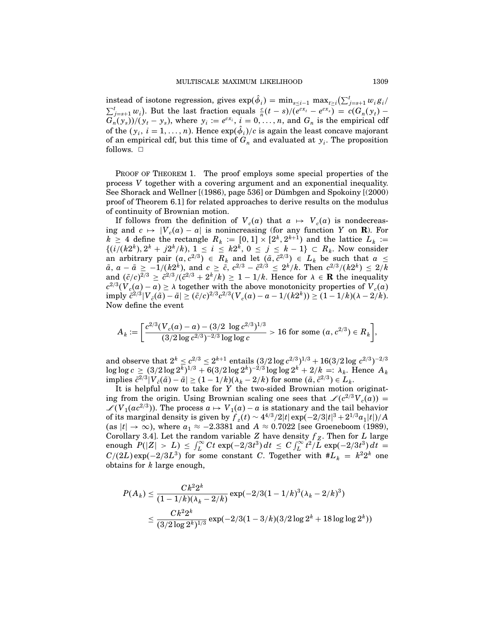instead of isotone regression, gives  $\exp(\hat{\phi}_i) = \min_{s \leq i-1} \max_{t \geq i} (\sum_{j=s+1}^t w_i g_i)$  $\sum_{j=s+1}^{t} w_i$ . But the last fraction equals  $\frac{c}{n}(t-s)/(e^{cx_t}-e^{cx_s}) = c(G_n(y_t)-e^{cx_t})$  $G_n(y_s)/(y_t - y_s)$ , where  $y_i := e^{cx_i}$ ,  $i = 0, \ldots, n$ , and  $G_n$  is the empirical cdf of the  $(y_i, i = 1, ..., n)$ . Hence  $\exp(\phi_i)/c$  is again the least concave majorant of an empirical cdf, but this time of  $G_n$  and evaluated at  $y_i$ . The proposition follows.  $\Box$ 

PROOF OF THEOREM 1. The proof employs some special properties of the process V together with a covering argument and an exponential inequality. See Shorack and Wellner [(1986), page 536] or Dümbgen and Spokoiny [(2000) proof of Theorem 6.1] for related approaches to derive results on the modulus of continuity of Brownian motion.

If follows from the definition of  $V_c(a)$  that  $a \mapsto V_c(a)$  is nondecreasing and  $c \mapsto |V_c(a) - a|$  is nonincreasing (for any function Y on **R**). For  $k \geq 4$  define the rectangle  $R_k := [0,1] \times [2^k, 2^{k+1})$  and the lattice  $L_k :=$  $\{(i/(k2^k), 2^k + j2^k/k), 1 \le i \le k2^k, 0 \le j \le k-1\} \subset R_k$ . Now consider an arbitrary pair  $(a, c^{2/3}) \in R_k$  and let  $(\tilde{a}, \tilde{c}^{2/3}) \in L_k$  be such that  $a \leq$  $\tilde{a}$ ,  $a - \tilde{a} \ge -1/(k^2k)$ , and  $c \ge \tilde{c}$ ,  $c^{2/3} - \tilde{c}^{2/3} \le 2^k/k$ . Then  $c^{2/3}/(k^2k) \le 2/k$ and  $({\tilde{c}}/c)^{2/3} \ge {\tilde{c}}^{2/3}/({\tilde{c}}^{2/3} + 2^k/k) \ge 1 - 1/k$ . Hence for  $\lambda \in \mathbf{R}$  the inequality  $c^{2/3}(V_c(a) - a) \ge \lambda$  together with the above monotonicity properties of  $V_c(a)$ <br>imply  $\tilde{c}^{2/3}|V_{\tilde{c}}(\tilde{a}) - \tilde{a}| \ge (\tilde{c}/c)^{2/3}c^{2/3}(V_c(a) - a - 1/(k2^k)) \ge (1 - 1/k)(\lambda - 2/k)$ . Nowdefine the event

$$
A_k := \left[ \frac{c^{2/3}(V_c(a) - a) - (3/2 \log c^{2/3})^{1/3}}{(3/2 \log c^{2/3})^{-2/3} \log \log c} > 16 \text{ for some } (a, c^{2/3}) \in R_k \right],
$$

and observe that  $2^k \leq c^{2/3} \leq 2^{k+1}$  entails  $(3/2 \log c^{2/3})^{1/3} + 16(3/2 \log c^{2/3})^{-2/3}$  $\log \log c \geq (3/2 \log 2^k)^{1/3} + 6(3/2 \log 2^k)^{-2/3} \log \log 2^k + 2/k =: \lambda_k.$  Hence  $A_k$ implies  $\tilde{c}^{2/3}|V_{\tilde{c}}(\tilde{a}) - \tilde{a}| \ge (1 - 1/k)(\lambda_k - 2/k)$  for some  $(\tilde{a}, \tilde{c}^{2/3}) \in L_k$ .

It is helpful now to take for  $Y$  the two-sided Brownian motion originating from the origin. Using Brownian scaling one sees that  $\mathcal{L}(c^{2/3}V_c(a)) =$  $\mathscr{L}(V_1(a e^{2/3}))$ . The process  $a \mapsto V_1(a) - a$  is stationary and the tail behavior of its marginal density is given by  $f_z(t) \sim 4^{4/3}/2|t| \exp(-2/3|t|^3 + 2^{1/3}a_1|t|)/A$  $\left(\text{as } |t| \to \infty\right)$ , where  $a_1 \approx -2.3381$  and  $A \approx 0.7022$  [see Groeneboom (1989), Corollary 3.4]. Let the random variable Z have density  $f_Z$ . Then for L large enough  $P(|Z| > L) \leq \int_{L}^{\infty} Ct \exp(-2/3t^3) dt \leq C \int_{L}^{\infty} t^2/L \exp(-2/3t^3) dt =$  $C/(2L) \exp(-2/3L^3)$  for some constant C. Together with  $\#L_k = k^2 2^k$  one obtains for k large enough,

$$
P(A_k) \le \frac{Ck^2 2^k}{(1 - 1/k)(\lambda_k - 2/k)} \exp(-2/3(1 - 1/k)^3 (\lambda_k - 2/k)^3)
$$
  

$$
\le \frac{Ck^2 2^k}{(3/2 \log 2^k)^{1/3}} \exp(-2/3(1 - 3/k)(3/2 \log 2^k + 18 \log \log 2^k))
$$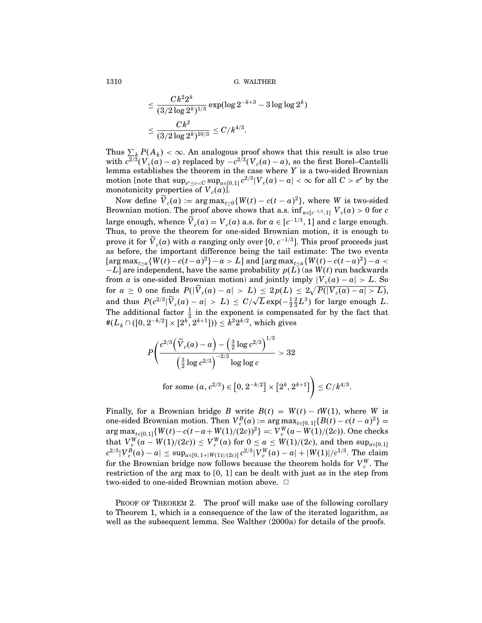$$
\leq \frac{C k^2 2^k}{(3/2 \log 2^k)^{1/3}} \exp(\log 2^{-k+3} - 3 \log \log 2^k) \\ \leq \frac{C k^2}{(3/2 \log 2^k)^{10/3}} \leq C/k^{4/3}.
$$

Thus  $\sum_{k} P(A_k) < \infty$ . An analogous proof shows that this result is also true with  $c^{2/3}(V_c(a)-a)$  replaced by  $-c^{2/3}(V_c(a)-a)$ , so the first Borel–Cantelli lemma establishes the theorem in the case where  $Y$  is a two-sided Brownian motion [note that  $\sup_{e^e \leq c < C} \sup_{a \in [0,1]} c^{2/3} |V_c(a) - a| < \infty$  for all  $C > e^e$  by the monotonicity properties of  $V_c(a)$ ].

Now define  $V_c(a) := \arg \max_{t \geq 0} \{W(t) - c(t-a)^2\}$ , where W is two-sided Brownian motion. The proof above shows that a.s.  $\inf_{a \in [c^{-1/3}, 1]} V_c(a) > 0$  for  $c$ large enough, whence  $\overline{V}_c(a) = V_c(a)$  a.s. for  $a \in [c^{-1/3}, 1]$  and c large enough. Thus, to prove the theorem for one-sided Brownian motion, it is enough to prove it for  $\tilde{V}_c(a)$  with a ranging only over [0,  $c^{-1/3}$ ]. This proof proceeds just as before, the important difference being the tail estimate: The two events  $\left[\arg \max_{t \geq a} \{W(t) - c(t-a)^2\} - a > L \right]$  and  $\left[\arg \max_{t \leq a} \{W(t) - c(t-a)^2\} - a \right]$  $-L$ ] are independent, have the same probability  $p(L)$  (as  $W(t)$  run backwards from *a* is one-sided Brownian motion) and jointly imply  $|V_c(a) - a| > L$ . So  $\text{for}\,\,a\,\geq\,0\,\,\text{one}\,\,\text{finds}\,\,\,P(|\widetilde{V}_{c}(a)-a|\,>\,L)\,\leq\,2p(L)\,\leq\,2\sqrt{P(|{V}_{c}(a)-a|\,>\,L)},$ and thus  $P(c^{2/3}|\tilde{V}_c(a)-a| > L) \leq C/\sqrt{L} \exp(-\frac{1}{2}\frac{2}{3}L^3)$  for large enough L. The additional factor  $\frac{1}{2}$  in the exponent is compensated for by the fact that #( $L_k \cap ([0, 2^{-k/2}] \times [2^k, 2^{k+1}])) \leq k^2 2^{k/2}$ , which gives

$$
P\Bigg(\frac{c^{2/3}\Big(\widetilde{V}_{c}(a)-a\Big)-\Big(\frac{3}{2}\log c^{2/3}\Big)^{1/3}}{\Big(\frac{3}{2}\log c^{2/3}\Big)^{-2/3}\log\log c} > 32 \\ \text{for some } (a, c^{2/3})\in\big[0,2^{-k/2}\big]\times\big[2^{k},2^{k+1}\big]\Bigg)\leq C/k^{4/3}.
$$

Finally, for a Brownian bridge B write  $B(t) = W(t) - tW(1)$ , where W is one-sided Brownian motion. Then  $V_c^B(a) := \arg \max_{t \in [0,1]} \{B(t) - c(t-a)^2\} =$  $\arg \max_{u \in [0,1]} \{W(t) - c(t-a+W(1)/(2c))^2\} =: V_c^W(a-W(1)/(2c)).$  One checks that  $V_c^W(a - W(1)/(2c)) \leq V_c^W(a)$  for  $0 \leq a \leq W(1)/(2c)$ , and then  $\sup_{a \in [0,1]}$  $|c^{2/3}|V_{c}^{B}(a)-a|\leq \sup_{a\in[0,\,1+|W(1)|/(2c)]}c^{2/3}|V_{c}^{W}(a)-a|+|W(1)|/c^{1/3}.$  The claim for the Brownian bridge now follows because the theorem holds for  $V_c^W$ . The restriction of the arg max to [0, 1] can be dealt with just as in the step from two-sided to one-sided Brownian motion above.  $\Box$ 

PROOF OF THEOREM 2. The proof will make use of the following corollary to Theorem 1, which is a consequence of the law of the iterated logarithm, as well as the subsequent lemma. See Walther (2000a) for details of the proofs.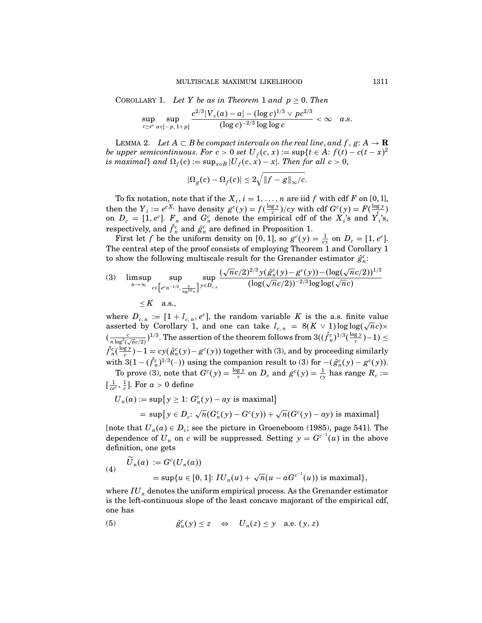COROLLARY 1. Let Y be as in Theorem 1 and  $p \geq 0$ . Then

$$
\sup_{c\geq e^e}\sup_{a\in [-p,1+p]} \frac{c^{2/3}|V_c(a)-a|-(\log c)^{1/3}\vee pc^{2/3}}{(\log c)^{-2/3}\log\log c}<\infty\quad a.s.
$$

LEMMA 2. Let  $A \subset B$  be compact intervals on the real line, and  $f, g: A \to \mathbf{R}$ be upper semicontinuous. For  $c > 0$  set  $U_f(c, x) := \sup\{t \in A : f(t) - c(t - x)^2\}$ is maximal} and  $\Omega_f(c) := \sup_{x \in B} |U_f(c, x) - x|$ . Then for all  $c > 0$ ,

$$
|\Omega_g(c)-\Omega_f(c)|\leq 2\sqrt{\|f-g\|_\infty/c}.
$$

To fix notation, note that if the  $X_i$ ,  $i = 1, ..., n$  are iid f with cdf F on [0, 1], then the  $Y_i := e^{cX_i}$  have density  $g^c(y) = f(\frac{\log y}{c})/cy$  with cdf  $G^c(y) = F(\frac{\log y}{c})$ <br>on  $D_c = [1, e^c]$ .  $F_n$  and  $G_n^c$  denote the empirical cdf of the  $X_i$ 's and  $Y_i$ 's, respectively, and  $\hat{f}_n^c$  and  $\hat{g}_n^c$  are defined in Proposition 1.

First let f be the uniform density on [0, 1], so  $g^c(y) = \frac{1}{cy}$  on  $D_c = [1, e^c]$ . The central step of the proof consists of employing Theorem 1 and Corollary 1 to show the following multiscale result for the Grenander estimator  $\hat{g}^c_n$ :

(3) 
$$
\limsup_{n \to \infty} \sup_{c \in \left[e^{e_n - 1/2}, \frac{n}{\log^{10} n}\right]} \sup_{y \in D_{c,n}} \frac{(\sqrt{n}c/2)^{2/3} y(\hat{g}_n^c(y) - g^c(y)) - (\log(\sqrt{n}c/2))^{1/3}}{(\log(\sqrt{n}c/2))^{-2/3} \log \log(\sqrt{n}c)} \leq K \quad \text{a.s.,}
$$

where  $D_{c,n} := [1 + l_{c,n}, e^c]$ , the random variable K is the a.s. finite value asserted by Corollary 1, and one can take  $l_{c,n} = 8(K \vee 1) \log \log(\sqrt{n}c) \times$  $(\frac{c}{n\log^2(\sqrt{n}c/2)})^{1/3}$ . The assertion of the theorem follows from  $3((\hat{f}_n^c)^{1/3}(\frac{\log y}{c})-1)\leq$  $\hat{f}_n^c(\frac{\log y}{c})-1=cy(\hat{g}_n^c(y)-g^c(y))$  together with (3), and by proceeding similarly with  $3(1 - (\hat{f}_n^c)^{1/3}(\cdot \cdot))$  using the companion result to (3) for  $-(\hat{g}_n^c(y) - g^c(y))$ .

To prove (3), note that  $G^c(y) = \frac{\log y}{c}$  on  $D_c$  and  $g^c(y) = \frac{1}{cy}$  has range  $R_c$  :=  $\left[\frac{1}{ce^c}, \frac{1}{c}\right]$ . For  $a > 0$  define

$$
U_n(a) := \sup\{y \ge 1: G_n^c(y) - ay \text{ is maximal}\}
$$
  
= 
$$
\sup\{y \in D_c: \sqrt{n}(G_n^c(y) - G^c(y)) + \sqrt{n}(G^c(y) - ay) \text{ is maximal}\}
$$

[note that  $U_n(a) \in D_c$ ; see the picture in Groeneboom (1985), page 541]. The dependence of  $U_n$  on c will be suppressed. Setting  $y = G^{c^{-1}}(u)$  in the above definition, one gets

(4) 
$$
\widetilde{U}_n(a) := G^c(U_n(a))
$$
  
=  $\sup\{u \in [0, 1]: IU_n(u) + \sqrt{n}(u - aG^{c^{-1}}(u)) \text{ is maximal}\},\$ 

where  $IU_n$  denotes the uniform empirical process. As the Grenander estimator is the left-continuous slope of the least concave majorant of the empirical cdf, one has

(5) 
$$
\hat{g}_n^c(y) \le z \iff U_n(z) \le y \text{ a.e. } (y, z)
$$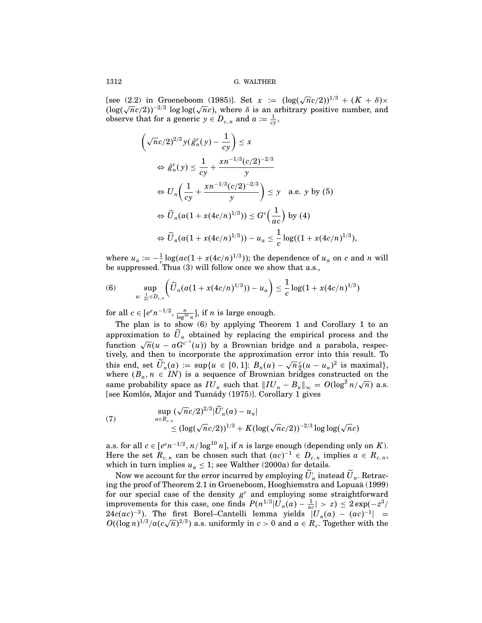[see (2.2) in Groeneboom (1985)]. Set  $x := (\log(\sqrt{n}c/2))^{1/3} + (K + \delta) \times$  $(\log(\sqrt{nc}/2))^{-2/3} \log \log(\sqrt{nc})$ , where  $\delta$  is an arbitrary positive number, and observe that for a generic  $y \in D_{c,n}$  and  $a := \frac{1}{cy}$ ,

$$
\left(\sqrt{n}c/2\right)^{2/3} y(\hat{g}_n^c(y) - \frac{1}{cy}) \le x
$$
\n
$$
\Leftrightarrow \hat{g}_n^c(y) \le \frac{1}{cy} + \frac{x n^{-1/3} (c/2)^{-2/3}}{y}
$$
\n
$$
\Leftrightarrow U_n \left(\frac{1}{cy} + \frac{x n^{-1/3} (c/2)^{-2/3}}{y}\right) \le y \quad \text{a.e. } y \text{ by (5)}
$$
\n
$$
\Leftrightarrow \widetilde{U}_n(a(1+x(4c/n)^{1/3})) \le G^c\left(\frac{1}{ac}\right) \text{ by (4)}
$$
\n
$$
\Leftrightarrow \widetilde{U}_n(a(1+x(4c/n)^{1/3})) - u_a \le \frac{1}{c} \log((1+x(4c/n)^{1/3}),
$$

where  $u_a := -\frac{1}{c} \log(ac(1 + x(4c/n)^{1/3}))$ ; the dependence of  $u_a$  on c and n will be suppressed. Thus (3) will follow once we show that a.s.,

(6) 
$$
\sup_{a: \ \frac{1}{ac} \in D_{c,n}} \left( \widetilde{U}_n(a(1+x(4c/n)^{1/3})) - u_a \right) \leq \frac{1}{c} \log(1+x(4c/n)^{1/3})
$$

for all  $c \in [e^{\epsilon}n^{-1/2}, \frac{n}{\log^{10} n}],$  if *n* is large enough.

The plan is to show (6) by applying Theorem 1 and Corollary 1 to an approximation to  $\tilde{U}_n$  obtained by replacing the empirical process and the function  $\sqrt{n}(u - aG^{c^{-1}}(u))$  by a Brownian bridge and a parabola, respectively, and then to incorporate the approximation error into this result. To this end, set  $\widetilde{U}'_n(a) := \sup\{u \in [0,1]: B_n(u) - \sqrt{n}\frac{c}{2}(u-u_a)^2 \text{ is maximal}\},$ where  $(B_n, n \in IN)$  is a sequence of Brownian bridges constructed on the same probability space as  $I\overline{U}_n$  such that  $\|I U_n - B_n\|_{\infty} = O(\log^2 n/\sqrt{n})$  a.s. [see Komlós, Major and Tusnády (1975)]. Corollary 1 gives

(7) 
$$
\sup_{a \in R_{c,n}} (\sqrt{n}c/2)^{2/3} |\widetilde{U}'_n(a) - u_a| \leq (\log(\sqrt{n}c/2))^{1/3} + K(\log(\sqrt{n}c/2))^{-2/3} \log \log(\sqrt{n}c)
$$

a.s. for all  $c \in [e^{\epsilon}n^{-1/2}, n/\log^{10} n]$ , if n is large enough (depending only on K). Here the set  $R_{c,n}$  can be chosen such that  $(ac)^{-1} \in D_{c,n}$  implies  $a \in R_{c,n}$ , which in turn implies  $u_a \leq 1$ ; see Walther (2000a) for details.

Now we account for the error incurred by employing  $U'_n$  instead  $U_n$ . Retracing the proof of Theorem 2.1 in Groeneboom, Hooghiemstra and Lopuaä (1999) for our special case of the density  $g^c$  and employing some straightforward improvements for this case, one finds  $P(n^{1/3}|U_n(a)-\frac{1}{ac}|>z) \leq 2\exp(-z^3/\frac{1}{2})$  $24c(ac)^{-3}$ ). The first Borel–Cantelli lemma yields  $|U_n(a) - (ac)^{-1}| =$  $O((\log n)^{1/3}/a(c\sqrt{n})^{2/3})$  a.s. uniformly in  $c > 0$  and  $a \in R_c$ . Together with the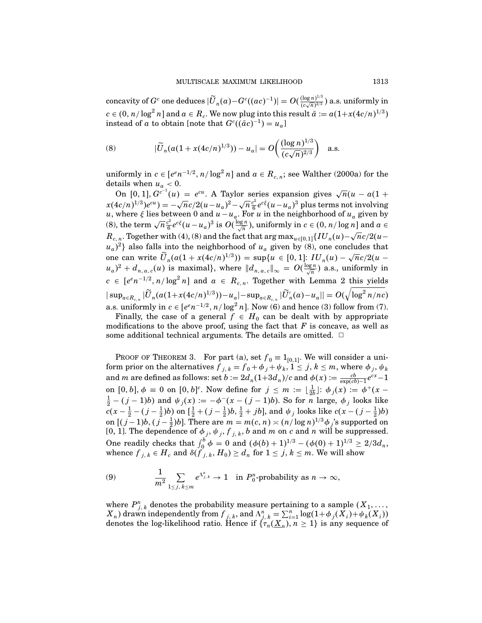$\text{concavity of } G^c \text{ one deduces } |\widetilde{U}_n(a)-G^c((ac)^{-1})|=O(\frac{(\log n)^{1/3}}{(c\sqrt{n})^{2/3}})$  $\frac{(\log n)^{2/3}}{(c\sqrt{n})^{2/3}}$ ) a.s. uniformly in  $c \in (0, n/\log^2 n]$  and  $a \in R_c$ . We now plug into this result  $\bar{a} := a(1 + x(4c/n)^{1/3})$ instead of a to obtain [note that  $G^c((\bar{a}c)^{-1}) = u_a$ ]

(8) 
$$
|\widetilde{U}_n(a(1+x(4c/n)^{1/3})) - u_a| = O\left(\frac{(\log n)^{1/3}}{(c\sqrt{n})^{2/3}}\right) \text{ a.s.}
$$

uniformly in  $c \in [e^{e}n^{-1/2}, n/\log^2 n]$  and  $a \in R_{c,n}$ ; see Walther (2000a) for the details when  $u_a < 0$ .

On [0, 1],  $G^{c^{-1}}(u) = e^{cu}$ . A Taylor series expansion gives  $\sqrt{n}(u - a(1 +$  $x(4c/n)^{1/3}e^{cu}$ ) =  $-\sqrt{n}c/2(u-u_a)^2-\sqrt{n}\frac{c^2}{6}e^{c\xi}(u-u_a)^3$  plus terms not involving u, where  $\xi$  lies between 0 and  $u - u_a$ . For u in the neighborhood of  $u_a$  given by (8), the term  $\sqrt{n} \frac{c^2}{6} e^{c\xi} (u - u_a)^3$  is  $O(\frac{\log n}{\sqrt{n}})$ , uniformly in  $c \in (0, n/\log n]$  and  $a \in$  $R_{c,n}$ . Together with (4), (8) and the fact that  $\argmax_{u \in [0,1]} \{ IU_n(u) - \sqrt{n}c/2(u-u) \}$  $(u_a)^2$ } also falls into the neighborhood of  $u_a$  given by (8), one concludes that one can write  $\tilde{U}_n(a(1 + x(4c/n)^{1/3})) = \sup\{u \in [0, 1]: IU_n(u) - \sqrt{n}c/2(u (u_a)^2 + d_{n, a, c}(u)$  is maximal}, where  $||d_{n, a, c}||_{\infty} = O(\frac{\log n}{\sqrt{n}})$  a.s., uniformly in  $c \in [e^{e}n^{-1/2}, n/\log^2 n]$  and  $a \in R_{c,n}$ . Together with Lemma 2 this yields  $|\sup_{a\in R_{c,n}}|\widetilde{U}_n(a(1+x(4c/n)^{1/3}))-u_a|-\sup_{a\in R_{c,n}}|\widetilde{U}'_n(a)-u_a||=O(\sqrt{\log^2n/nc})$ a.s. uniformly in  $c \in [e^{e}n^{-1/2}, n/\log^2 n]$ . Now (6) and hence (3) follow from (7).

Finally, the case of a general  $f \in H_0$  can be dealt with by appropriate modifications to the above proof, using the fact that  $F$  is concave, as well as some additional technical arguments. The details are omitted.  $\Box$ 

PROOF OF THEOREM 3. For part (a), set  $f_0 \equiv 1_{[0,1]}$ . We will consider a uniform prior on the alternatives  $f_{j,k} = f_0 + \phi_j + \psi_k$ ,  $1 \leq j, k \leq m$ , where  $\phi_j, \psi_k$ and m are defined as follows: set  $b := 2d_n(1+3d_n)/c$  and  $\phi(x) := \frac{cb}{\exp(cb)-1}e^{cx}-1$ on  $[0, b]$ ,  $\phi \equiv 0$  on  $[0, b]^c$ . Now define for  $j \le m := \lfloor \frac{1}{2b} \rfloor$ :  $\phi_j(x) := \phi^+(x - 1)$  $\frac{1}{2} - (j-1)b$  and  $\psi_j(x) := -\phi^-(x - (j-1)b)$ . So for *n* large,  $\phi_j$  looks like  $c(x-\frac{1}{2}-(j-\frac{1}{2})b)$  on  $[\frac{1}{2}+(j-\frac{1}{2})b,\frac{1}{2}+jb]$ , and  $\psi_j$  looks like  $c(x-(j-\frac{1}{2})b)$ on  $[(j-1)b, (j-\frac{1}{2})b]$ . There are  $m = m(c, n) \times (n/\log n)^{1/3}\phi_j$ 's supported on [0, 1]. The dependence of  $\phi_j$ ,  $\psi_j$ ,  $f_{j,k}$ , b and m on c and n will be suppressed. One readily checks that  $\int_0^b \phi = 0$  and  $(\phi(b) + 1)^{1/3} - (\phi(0) + 1)^{1/3} \ge 2/3d_n$ , whence  ${f}_{j,\,k} \in H_c$  and  $\delta({f}_{j,\,k}, H_0) \geq d_n$  for  $1 \leq j,\,k \leq m.$  We will show

(9) 
$$
\frac{1}{m^2} \sum_{1 \leq j, k \leq m} e^{\Lambda_{j,k}^n} \to 1 \text{ in } P_0^n\text{-probability as } n \to \infty,
$$

where  $P_{j,k}^n$  denotes the probability measure pertaining to a sample  $(X_1, \ldots, X_n)$  $X_n$ ) drawn independently from  $f_{j,k}$ , and  $\Lambda_{j,k}^n = \sum_{i=1}^n \log(1 + \phi_j(\bar{X}_i) + \psi_k(\bar{X}_i))$  denotes the log-likelihood ratio. Hence if  $\{\tau_n(\underline{X}_n), n \geq 1\}$  is any sequence of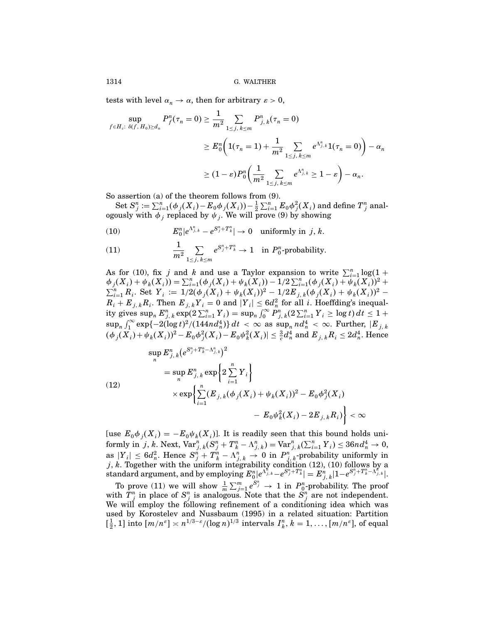tests with level  $\alpha_n \to \alpha$ , then for arbitrary  $\varepsilon > 0$ ,

$$
\sup_{f \in H_c: \delta(f, H_0) \ge d_n} P_f^n(\tau_n = 0) \ge \frac{1}{m^2} \sum_{1 \le j, k \le m} P_{j,k}^n(\tau_n = 0)
$$
  

$$
\ge E_0^n \left( 1(\tau_n = 1) + \frac{1}{m^2} \sum_{1 \le j, k \le m} e^{\Lambda_{j,k}^n} 1(\tau_n = 0) \right) - \alpha_n
$$
  

$$
\ge (1 - \varepsilon) P_0^n \left( \frac{1}{m^2} \sum_{1 \le j, k \le m} e^{\Lambda_{j,k}^n} \ge 1 - \varepsilon \right) - \alpha_n.
$$

So assertion (a) of the theorem follows from (9).

 $\operatorname{Set} S_j^n := \sum_{i=1}^n (\phi_j(X_i) - E_0 \phi_j(X_i)) - \frac{1}{2} \sum_{i=1}^n E_0 \phi_j^2(X_i)$  and define  $T_j^n$  analogously with  $\phi_j$  replaced by  $\psi_j$ . We will prove (9) by showing

(10) 
$$
E_0^n|e^{\Lambda_{j,k}^n}-e^{S_j^n+T_k^n}| \to 0 \text{ uniformly in } j,k.
$$

(11) 
$$
\frac{1}{m^2} \sum_{1 \le j, k \le m} e^{S_j^n + T_k^n} \to 1 \text{ in } P_0^n\text{-probability.}
$$

As for (10), fix j and k and use a Taylor expansion to write  $\sum_{i=1}^{n} \log(1 +$  $\phi_j(X_i) + \psi_k(X_i) = \sum_{i=1}^n (\phi_j(X_i) + \psi_k(X_i)) - 1/2 \sum_{i=1}^n (\phi_j(X_i) + \psi_k(X_i))^2 +$  $\sum_{i=1}^n R_i$ . Set  $Y_i := 1/2(\phi_j(X_i) + \psi_k(X_i))^2 - 1/2E_{j,k}(\phi_j(X_i) + \psi_k(X_i))^2$  $R_i + E_{j, k} R_i$ . Then  $E_{j, k} Y_i = 0$  and  $|Y_i| \leq 6d_n^2$  for all i. Hoeffding's inequality gives  $\sup_n E_{j,k}^n \exp(2\sum_{i=1}^n Y_i)=\sup_n \int_0^\infty P_{j,\,k}^n (2\sum_{i=1}^n Y_i\geq \log t)\, dt\leq 1+1$  $\sup_n \int_1^\infty \exp\{-2(\log t)^2/(144nd_n^4)\} \, dt \ < \ \infty \ \ {\rm as} \ \sup_n n d_n^4 \ < \ \infty. \ \ {\rm Further}, \ |E_{\scriptscriptstyle f,\,k} \>$  $(\phi_j(X_i)+\psi_k(X_i))^2 - E_0\phi_j^2(X_i) - E_0\psi_k^2(X_i)| \leq \frac{3}{c}d_n^4$  and  $E_{j,\,k}R_i \leq 2d_n^4$ . Hence

(12)  
\n
$$
\sup_{n} E_{j,k}^{n} (e^{S_{j}^{n} + T_{k}^{n} - \Lambda_{j,k}^{n}})^{2}
$$
\n
$$
= \sup_{n} E_{j,k}^{n} \exp \left\{ 2 \sum_{i=1}^{n} Y_{i} \right\}
$$
\n
$$
\times \exp \left\{ \sum_{i=1}^{n} (E_{j,k}(\phi_{j}(X_{i}) + \psi_{k}(X_{i}))^{2} - E_{0} \phi_{j}^{2}(X_{i}) - E_{0} \psi_{k}^{2}(X_{i}) - 2E_{j,k} R_{i}) \right\} < \infty
$$

[use  $E_0 \phi_j(X_i) = -E_0 \psi_k(X_i)$ ]. It is readily seen that this bound holds uni- $\text{formly in }j,\, k.\ \text{Next, } \text{Var}^n_{j,\,k}(S^n_j+T^n_k-\Lambda^n_{j,\,k})=\text{Var}^n_{j,\,k}(\sum^n_{i=1}Y_i)\leq 36nd^4_n\rightarrow 0,$ as  $|Y_i| \leq 6d_n^2$ . Hence  $S_j^n + T_k^n - \Lambda_{j,k}^n \to 0$  in  $P_{j,k}^n$ -probability uniformly in j, k. Together with the uniform integrability condition  $(12)$ ,  $(10)$  follows by a  $\text{standard argument, and by employing } E_0^n|e^{\Lambda_{j,k}^{\mathtt{N}}}-e^{S^n_{j}+T^n_{k}}|=E_{j,\;k}^n|1-e^{S^n_{j}+T^n_{k}-\Lambda_{j,\;k}^{\mathtt{N}}}|.$ 

To prove (11) we will show  $\frac{1}{m} \sum_{j=1}^{m} e^{S_j^n} \to 1$  in  $P_0^n$ -probability. The proof with  $T_j^n$  in place of  $S_j^n$  is analogous. Note that the  $S_j^n$  are not independent. We will employ the following refinement of a conditioning idea which was used by Korostelev and Nussbaum (1995) in a related situation: Partition  $\left[\frac{1}{2}, 1\right]$  into  $\left[m/n^{\varepsilon}\right] \asymp n^{1/3-\varepsilon}/(\log n)^{1/3}$  intervals  $I_k^n$ ,  $k = 1, \ldots, [m/n^{\varepsilon}],$  of equal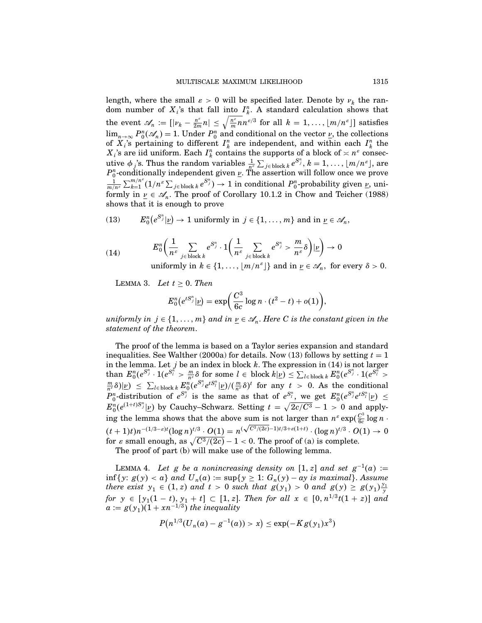length, where the small  $\varepsilon > 0$  will be specified later. Denote by  $\nu_k$  the random number of  $X_i$ 's that fall into  $I_k^n$ . A standard calculation shows that the event  $\mathscr{A}_n := [|\nu_k - \frac{n^{\varepsilon}}{2m} n| \leq \sqrt{\frac{n^{\varepsilon}}{m} n^{ \varepsilon/3}}$  for all  $k = 1, ..., \lfloor m/n^{\varepsilon} \rfloor]$  satisfies  $\lim_{n\to\infty} P_0^n(\mathscr{A}_n) = 1$ . Under  $P_0^n$  and conditional on the vector *v*, the collections of  $X_i$ 's pertaining to different  $I_k^n$  are independent, and within each  $I_k^n$  the  $X_i$ 's are iid uniform. Each  $I_k^n$  contains the supports of a block of  $\lt n$ <sup>ε</sup> consecutive  $\phi_j$ 's. Thus the random variables  $\frac{1}{n^{\varepsilon}}\sum_{j\in \text{block }k} e^{S_j^n}, k = 1, \ldots, \lfloor m/n^{\varepsilon} \rfloor$ , are  $P_0^n$ -conditionally independent given  $\underline{\nu}$ . The assertion will follow once we prove  $\frac{1}{m/n^e}\sum_{k=1}^{m/n^e} (1/n^e\sum_{j\in\text{block }k} e^{S_j^n})\to 1 \text{ in conditional } P_0^n\text{-probability given }\underline{\nu}\text{, uni$ formly in  $\nu \in \mathscr{A}_n$ . The proof of Corollary 10.1.2 in Chow and Teicher (1988) shows that it is enough to prove

(13) 
$$
E_0^n(e^{S_j^n}|\underline{\nu}) \to 1
$$
 uniformly in  $j \in \{1, ..., m\}$  and in  $\underline{\nu} \in \mathcal{A}_n$ ,

(14) 
$$
E_0^n\left(\frac{1}{n^{\varepsilon}}\sum_{j\in \text{block }k}e^{S_j^n}\cdot 1\left(\frac{1}{n^{\varepsilon}}\sum_{j\in \text{block }k}e^{S_j^n}>\frac{m}{n^{\varepsilon}}\delta\right)|\underline{\nu}\right)\to 0
$$
  
uniformly in  $k\in\{1,\ldots,\lfloor m/n^{\varepsilon}\rfloor\}$  and in  $\underline{\nu}\in\mathscr{A}_n$ , for every  $\delta>0$ .

LEMMA 3. Let  $t \geq 0$ . Then

$$
E_0^n(e^{tS_j^n}|\underline{\nu}) = \exp\biggl(\frac{C^3}{6c}\log n\cdot(t^2-t)+o(1)\biggr),
$$

uniformly in  $j \in \{1, \ldots, m\}$  and in  $\underline{\nu} \in \mathscr{A}_n.$  Here  $C$  is the constant given in the statement of the theorem.

The proof of the lemma is based on a Taylor series expansion and standard inequalities. See Walther (2000a) for details. Now (13) follows by setting  $t = 1$ in the lemma. Let j be an index in block k. The expression in  $(14)$  is not larger  $\text{than } E_0^n(e^{S_j^n} \cdot 1(e^{S_l^n} > \frac{m}{n^s} \delta \text{ for some } l \in \text{ block } k | \underline{\nu}) \leq \sum_{l \in \text{block } k} E_0^n(e^{S_j^n} \cdot 1(e^{S_l^n} >$  $(\frac{m}{n^e} \delta)|\underline{v}) \leq \sum_{l \in \text{block } k} E_0^n (e^{S_{lj}^n} e^{tS_l^n} |\underline{\nu})/(\frac{m}{n^e} \delta)^t$  for any  $t > 0$ . As the conditional  $P_0^n$ -distribution of  $e^{S_j^n}$  is the same as that of  $e^{S_j^n}$ , we get  $E_0^n(e^{S_j^n}e^{tS_i^n}|\underline{\nu}) \leq$  $E_0^n(e^{(1+t)S_j^n}|\underline{v})$  by Cauchy–Schwarz. Setting  $t = \sqrt{2c/C^3} - 1 > 0$  and applying the lemma shows that the above sum is not larger than  $n^{\varepsilon} \exp(\frac{C^3}{6c} \log n \cdot$  $(t+1)t$ ) $n^{-(1/3-\varepsilon)t}(\log n)^{t/3}\cdot O(1)= n^{(\sqrt{C^3/(2c)}-1)t/3+\varepsilon(1+t)}\cdot (\log n)^{t/3}\cdot O(1)\to 0$ for  $\varepsilon$  small enough, as  $\sqrt{C^3/(2c)} - 1 < 0$ . The proof of (a) is complete.

The proof of part (b) will make use of the following lemma.

LEMMA 4. Let g be a nonincreasing density on [1, z] and set  $g^{-1}(a) :=$  $\inf \{y: g(y) < a\}$  and  $U_n(a) := \sup \{y \ge 1: G_n(y) - ay \text{ is maximal}\}.$  Assume there exist  $y_1 \in (1, z)$  and  $t > 0$  such that  $g(y_1) > 0$  and  $g(y) \ge g(y_1) \frac{y_1}{y_1}$ for  $y \in [y_1(1-t), y_1 + t] \subset [1, z]$ . Then for all  $x \in [0, n^{1/3}t(1+z)]$  and  $a := g(y_1)(1 + xn^{-1/3})$  the inequality

$$
P(n^{1/3}(U_n(a)-g^{-1}(a))>x)\leq \exp(-Kg(y_1)x^3)
$$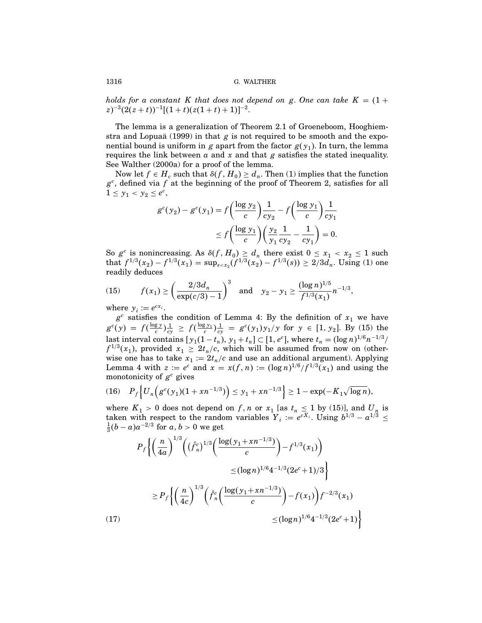holds for a constant K that does not depend on g. One can take  $K = (1 +$  $(z)^{-3}(2(z+t))^{-1}[(1+t)(z(1+t)+1)]^{-2}.$ 

The lemma is a generalization of Theorem 2.1 of Groeneboom, Hooghiemstra and Lopuaa (1999) in that  $g$  is not required to be smooth and the exponential bound is uniform in g apart from the factor  $g(y_1)$ . In turn, the lemma requires the link between  $\alpha$  and  $x$  and that  $\beta$  satisfies the stated inequality. See Walther (2000a) for a proof of the lemma.

Now let  $f \in H_c$  such that  $\delta(f, H_0) \geq d_n$ . Then (1) implies that the function  $g<sup>c</sup>$ , defined via f at the beginning of the proof of Theorem 2, satisfies for all  $1 \leq y_1 < y_2 \leq e^c$ ,

$$
g^{c}(y_{2}) - g^{c}(y_{1}) = f\left(\frac{\log y_{2}}{c}\right) \frac{1}{cy_{2}} - f\left(\frac{\log y_{1}}{c}\right) \frac{1}{cy_{1}} \leq f\left(\frac{\log y_{1}}{c}\right)\left(\frac{y_{2}}{y_{1}} \frac{1}{cy_{2}} - \frac{1}{cy_{1}}\right) = 0.
$$

So  $g^c$  is nonincreasing. As  $\delta(f, H_0) \ge d_n$  there exist  $0 \le x_1 < x_2 \le 1$  such that  $f^{1/3}(x_2) - f^{1/3}(x_1) = \sup_{s \lt x_2} (f^{1/3}(x_2) - f^{1/3}(s)) \ge 2/3d_n$ . Using (1) one readily deduces

$$
(15) \t f(x_1) \ge \left(\frac{2/3d_n}{\exp(c/3) - 1}\right)^3 \text{ and } y_2 - y_1 \ge \frac{(\log n)^{1/5}}{f^{1/3}(x_1)} n^{-1/3},
$$

where  $y_i := e^{cx_i}$ .

 $(1)$ 

 $g^c$  satisfies the condition of Lemma 4: By the definition of  $x_1$  we have  $g^{c}(y) = f(\frac{\log y}{c})\frac{1}{cy} \geq f(\frac{\log y}{c})\frac{1}{cy} = g^{c}(y_1)y_1/y$  for  $y \in [1, y_2]$ . By (15) the last interval contains  $[y_1(1 - t_n), y_1 + t_n] \subset [1, e^c]$ , where  $t_n = (\log n)^{1/6} n^{-1/3}$ /  $f^{1/3}(x_1)$ , provided  $x_1 \geq 2t_n/c$ , which will be assumed from now on (otherwise one has to take  $x_1 := 2t_n/c$  and use an additional argument). Applying Lemma 4 with  $z := e^c$  and  $x = x(f, n) := (\log n)^{1/6} / f^{1/3}(x_1)$  and using the monotonicity of  $g^c$  gives

$$
(16) \quad P_f\Big\{U_n\Big(g^c(\mathbf{y}_1)(1+xn^{-1/3})\Big)\leq \mathbf{y}_1+xn^{-1/3}\Big\}\geq 1-\exp(-K_1\sqrt{\log n}),
$$

where  $K_1 > 0$  does not depend on f, n or  $x_1$  [as  $t_n \le 1$  by (15)], and  $U_n$  is taken with respect to the random variables  $Y_i := e^{cX_i}$ . Using  $b^{1/3} - a^{1/3} \le \frac{1}{3}(b-a)a^{-2/3}$  for  $a, b > 0$  we get

$$
P_f\left\{\left(\frac{n}{4a}\right)^{1/3}\left(\left(\hat{f}_n^c\right)^{1/3}\left(\frac{\log(y_1+xn^{-1/3})}{c}\right)-f^{1/3}(x_1)\right)\right\}
$$
  

$$
\leq (\log n)^{1/6}4^{-1/3}(2e^c+1)/3\right\}
$$
  

$$
\geq P_f\left\{\left(\frac{n}{4c}\right)^{1/3}\left(\hat{f}_n^c\left(\frac{\log(y_1+xn^{-1/3})}{c}\right)-f(x_1)\right)f^{-2/3}(x_1)\right\}
$$
  

$$
\leq (\log n)^{1/6}4^{-1/3}(2e^c+1)\right\}
$$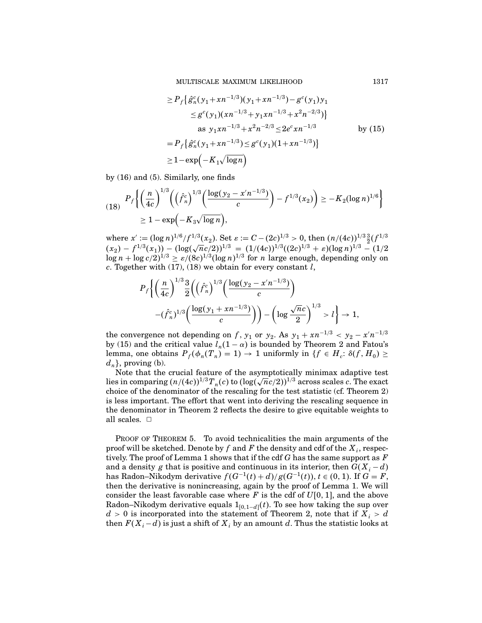MULTISCALE MAXIMUM LIKELIHOOD 1317

$$
\geq P_f \left\{ \hat{g}_n^c (y_1 + x n^{-1/3}) (y_1 + x n^{-1/3}) - g^c (y_1) y_1 \right\}
$$
  
\n
$$
\leq g^c (y_1) (x n^{-1/3} + y_1 x n^{-1/3} + x^2 n^{-2/3}) \right\}
$$
  
\nas  $y_1 x n^{-1/3} + x^2 n^{-2/3} \leq 2e^c x n^{-1/3}$  by (15)  
\n
$$
= P_f \left\{ \hat{g}_n^c (y_1 + x n^{-1/3}) \leq g^c (y_1) (1 + x n^{-1/3}) \right\}
$$
  
\n
$$
\geq 1 - \exp \left( -K_1 \sqrt{\log n} \right)
$$

by (16) and (5). Similarly, one finds

$$
(18) \quad P_f\left\{ \left(\frac{n}{4c}\right)^{1/3} \left(\left(\hat{f}_n^c\right)^{1/3} \left(\frac{\log(y_2 - x'n^{-1/3})}{c}\right) - f^{1/3}(x_2)\right) \ge -K_2(\log n)^{1/6} \right\}
$$
\n
$$
\ge 1 - \exp\left(-K_3\sqrt{\log n}\right),
$$

where  $x' := (\log n)^{1/6}/f^{1/3}(x_2)$ . Set  $\varepsilon := C - (2c)^{1/3} > 0$ , then  $\left(\frac{n}{4c}\right)^{1/3} \frac{3}{2}(f^{1/3})$  $(x_2) - f^{1/3}(x_1) - (\log(\sqrt{n}c/2))^{1/3} = (1/(4c))^{1/3}((2c)^{1/3} + \varepsilon)(\log n)^{1/3} - (1/2c)^{1/3}$  $\log n + \log c/2$ <sup>1/3</sup>  $\ge \frac{\varepsilon}{(8c)^{1/3}(\log n)^{1/3}}$  for *n* large enough, depending only on c. Together with  $(17)$ ,  $(18)$  we obtain for every constant l,

$$
P_f\bigg\{\bigg(\frac{n}{4c}\bigg)^{1/3}\frac{3}{2}\bigg(\bigg(\hat{f}_n^c\bigg)^{1/3}\bigg(\frac{\log(y_2-x'n^{-1/3})}{c}\bigg) -(\hat{f}_n^c)^{1/3}\bigg(\frac{\log(y_1+xn^{-1/3})}{c}\bigg)\bigg) -\bigg(\log\frac{\sqrt{n}c}{2}\bigg)^{1/3} > l\bigg\} \to 1,
$$

the convergence not depending on f,  $y_1$  or  $y_2$ . As  $y_1 + xn^{-1/3} < y_2 - x'n^{-1/3}$ by (15) and the critical value  $l_n(1 - \alpha)$  is bounded by Theorem 2 and Fatou's lemma, one obtains  $P_f(\phi_n(T_n) = 1) \to 1$  uniformly in  $\{f \in H_c: \delta(f, H_0) \geq 1\}$  $d_n$ , proving (b).

Note that the crucial feature of the asymptotically minimax adaptive test lies in comparing  $(n/(4c))^{1/3}T_n(c)$  to  $(\log(\sqrt{n}c/2))^{1/3}$  across scales c. The exact choice of the denominator of the rescaling for the test statistic (cf. Theorem 2) is less important. The effort that went into deriving the rescaling sequence in the denominator in Theorem 2 reflects the desire to give equitable weights to all scales.  $\square$ 

PROOF OF THEOREM 5. To avoid technicalities the main arguments of the proof will be sketched. Denote by f and F the density and cdf of the  $X_i$ , respectively. The proof of Lemma 1 shows that if the cdf  $G$  has the same support as  $F$ and a density g that is positive and continuous in its interior, then  $G(X_i - d)$ has Radon–Nikodym derivative  $f(G^{-1}(t) + d)/g(G^{-1}(t)), t \in (0, 1)$ . If  $G = F$ , then the derivative is nonincreasing, again by the proof of Lemma 1. We will consider the least favorable case where  $F$  is the cdf of  $U[0, 1]$ , and the above Radon–Nikodym derivative equals  $1_{[0,1-d]}(t)$ . To see how taking the sup over  $d > 0$  is incorporated into the statement of Theorem 2, note that if  $X_i > d$ then  $F(X_i-d)$  is just a shift of  $X_i$  by an amount  $d$ . Thus the statistic looks at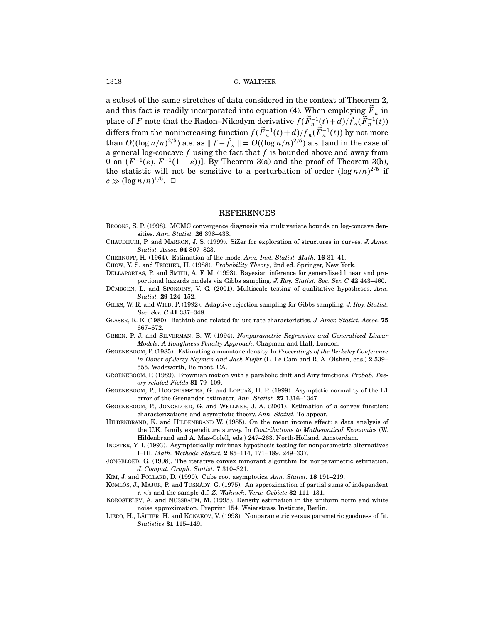a subset of the same stretches of data considered in the context of Theorem 2, and this fact is readily incorporated into equation (4). When employing  $\overline{F}_n$  in place of F note that the Radon–Nikodym derivative  $f(\vec{F}_n^{-1}(t) + d)/\tilde{f}_n(\vec{F}_n^{-1}(t))$ <br>differs from the nonincreasing function  $f(\widetilde{F}_n^{-1}(t) + d)/f_n(\widetilde{F}_n^{-1}(t))$  by not more than  $O((\log n/n)^{2/5})$  a.s. as  $\|f - \tilde{f}_n\| = O((\log n/n)^{2/5})$  a.s. [and in the case of a general log-concave  $f$  using the fact that  $f$  is bounded above and away from 0 on  $(F^{-1}(\varepsilon), F^{-1}(1-\varepsilon))$ . By Theorem 3(a) and the proof of Theorem 3(b), the statistic will not be sensitive to a perturbation of order  $(\log n/n)^{2/5}$  if  $c \gg (\log n/n)^{1/5}$ .  $\Box$ 

#### REFERENCES

- Brooks, S. P. (1998). MCMC convergence diagnosis via multivariate bounds on log-concave densities. Ann. Statist. 26 398–433.
- Chaudhuri, P. and Marron, J. S. (1999). SiZer for exploration of structures in curves. J. Amer. Statist. Assoc. 94 807–823.
- Chernoff, H. (1964). Estimation of the mode. Ann. Inst. Statist. Math. 16 31–41.
- CHOW, Y. S. and TEICHER, H. (1988). Probability Theory, 2nd ed. Springer, New York.
- Dellaportas, P. and Smith, A. F. M. (1993). Bayesian inference for generalized linear and proportional hazards models via Gibbs sampling. J. Roy. Statist. Soc. Ser. C 42 443–460.
- DÜMBGEN, L. and SPOKOINY, V. G.  $(2001)$ . Multiscale testing of qualitative hypotheses. Ann. Statist. 29 124–152.
- GILKS, W. R. and WILD, P. (1992). Adaptive rejection sampling for Gibbs sampling. J. Roy. Statist. Soc. Ser. C 41 337–348.
- GLASER, R. E. (1980). Bathtub and related failure rate characteristics. J. Amer. Statist. Assoc. 75 667–672.
- Green, P. J. and Silverman, B. W. (1994). Nonparametric Regression and Generalized Linear Models: A Roughness Penalty Approach. Chapman and Hall, London.
- GROENEBOOM, P. (1985). Estimating a monotone density. In Proceedings of the Berkeley Conference in Honor of Jerzy Neyman and Jack Kiefer (L. Le Cam and R. A. Olshen, eds.) 2 539– 555. Wadsworth, Belmont, CA.
- GROENEBOOM, P. (1989). Brownian motion with a parabolic drift and Airy functions. Probab. Theory related Fields 81 79–109.
- GROENEBOOM, P., HOOGHIEMSTRA, G. and LOPUAÄ, H. P. (1999). Asymptotic normality of the L1 error of the Grenander estimator. Ann. Statist. 27 1316–1347.
- GROENEBOOM, P., JONGBLOED, G. and WELLNER, J. A. (2001). Estimation of a convex function: characterizations and asymptotic theory. Ann. Statist. To appear.
- HILDENBRAND, K. and HILDENBRAND W. (1985). On the mean income effect: a data analysis of the U.K. family expenditure survey. In Contributions to Mathematical Economics (W. Hildenbrand and A. Mas-Colell, eds.) 247–263. North-Holland, Amsterdam.
- Ingster, Y. I. (1993). Asymptotically minimax hypothesis testing for nonparametric alternatives I–III. Math. Methods Statist. 2 85–114, 171–189, 249–337.
- JONGBLOED, G. (1998). The iterative convex minorant algorithm for nonparametric estimation. J. Comput. Graph. Statist. 7 310–321.
- KIM, J. and POLLARD, D. (1990). Cube root asymptotics. Ann. Statist. 18 191-219.
- KOMLÓS, J., MAJOR, P. and TUSNÁDY, G. (1975). An approximation of partial sums of independent r. v.'s and the sample d.f. Z. Wahrsch. Verw. Gebiete 32 111–131.
- Korostelev, A. and Nussbaum, M. (1995). Density estimation in the uniform norm and white noise approximation. Preprint 154, Weierstrass Institute, Berlin.
- LIERO, H., LÄUTER, H. and KONAKOV, V. (1998). Nonparametric versus parametric goodness of fit. Statistics 31 115–149.